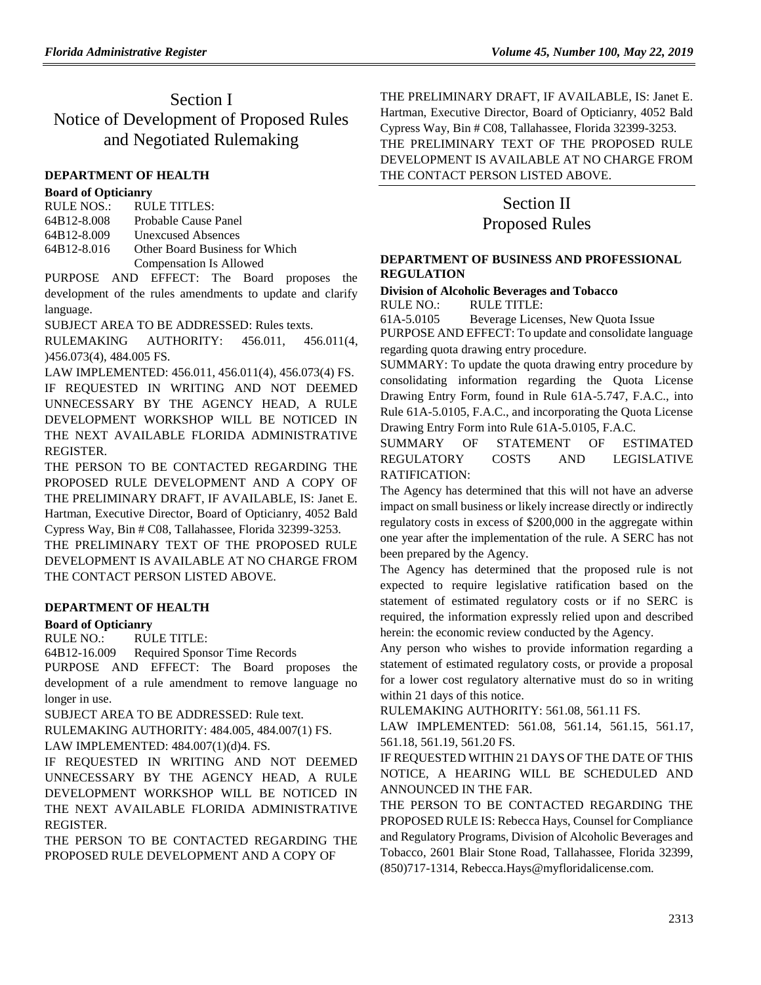# Section I Notice of Development of Proposed Rules and Negotiated Rulemaking

#### **[DEPARTMENT OF HEALTH](https://www.flrules.org/gateway/department.asp?id=64)**

#### **[Board of Opticianry](https://www.flrules.org/gateway/organization.asp?id=303)**

| RULE NOS.:  | RULE TITLES:                   |
|-------------|--------------------------------|
| 64B12-8.008 | Probable Cause Panel           |
| 64B12-8.009 | Unexcused Absences             |
| 64B12-8.016 | Other Board Business for Which |
|             | Compensation Is Allowed        |

PURPOSE AND EFFECT: The Board proposes the development of the rules amendments to update and clarify language.

SUBJECT AREA TO BE ADDRESSED: Rules texts.

RULEMAKING AUTHORITY: [456.011,](https://www.flrules.org/gateway/statute.asp?id=456.011) [456.011\(4,](https://www.flrules.org/gateway/statute.asp?id=%20456.011(4) )456.073(4)[, 484.005 FS.](https://www.flrules.org/gateway/statute.asp?id=%20484.005%20FS.)

LAW IMPLEMENTED: [456.011,](https://www.flrules.org/gateway/statute.asp?id=456.011) [456.011\(4\),](https://www.flrules.org/gateway/statute.asp?id=%20456.011(4)) [456.073\(4\) FS.](https://www.flrules.org/gateway/statute.asp?id=%20456.073(4)%20FS.)

IF REQUESTED IN WRITING AND NOT DEEMED UNNECESSARY BY THE AGENCY HEAD, A RULE DEVELOPMENT WORKSHOP WILL BE NOTICED IN THE NEXT AVAILABLE FLORIDA ADMINISTRATIVE REGISTER.

THE PERSON TO BE CONTACTED REGARDING THE PROPOSED RULE DEVELOPMENT AND A COPY OF THE PRELIMINARY DRAFT, IF AVAILABLE, IS: Janet E. Hartman, Executive Director, Board of Opticianry, 4052 Bald Cypress Way, Bin # C08, Tallahassee, Florida 32399-3253.

THE PRELIMINARY TEXT OF THE PROPOSED RULE DEVELOPMENT IS AVAILABLE AT NO CHARGE FROM THE CONTACT PERSON LISTED ABOVE.

#### **[DEPARTMENT OF HEALTH](https://www.flrules.org/gateway/department.asp?id=64)**

#### **[Board of Opticianry](https://www.flrules.org/gateway/organization.asp?id=303)**

RULE NO.: RULE TITLE:

[64B12-16.009](https://www.flrules.org/gateway/ruleNo.asp?id=64B12-16.009) Required Sponsor Time Records

PURPOSE AND EFFECT: The Board proposes the development of a rule amendment to remove language no longer in use.

SUBJECT AREA TO BE ADDRESSED: Rule text.

RULEMAKING AUTHORITY: [484.005,](https://www.flrules.org/gateway/statute.asp?id=484.005) [484.007\(1\) FS.](https://www.flrules.org/gateway/statute.asp?id=%20484.007(1)%20FS.)

LAW IMPLEMENTED: [484.007\(1\)\(d\)4. FS.](https://www.flrules.org/gateway/statute.asp?id=484.007(1)(d)4.%20FS.)

IF REQUESTED IN WRITING AND NOT DEEMED UNNECESSARY BY THE AGENCY HEAD, A RULE DEVELOPMENT WORKSHOP WILL BE NOTICED IN THE NEXT AVAILABLE FLORIDA ADMINISTRATIVE **REGISTER** 

THE PERSON TO BE CONTACTED REGARDING THE PROPOSED RULE DEVELOPMENT AND A COPY OF

THE PRELIMINARY DRAFT, IF AVAILABLE, IS: Janet E. Hartman, Executive Director, Board of Opticianry, 4052 Bald Cypress Way, Bin # C08, Tallahassee, Florida 32399-3253. THE PRELIMINARY TEXT OF THE PROPOSED RULE DEVELOPMENT IS AVAILABLE AT NO CHARGE FROM THE CONTACT PERSON LISTED ABOVE.

# Section II Proposed Rules

#### **[DEPARTMENT OF BUSINESS AND PROFESSIONAL](https://www.flrules.org/gateway/department.asp?id=61)  [REGULATION](https://www.flrules.org/gateway/department.asp?id=61)**

#### **[Division of Alcoholic Beverages and Tobacco](https://www.flrules.org/gateway/organization.asp?id=247)** RULE NO.: RULE TITLE:

[61A-5.0105](https://www.flrules.org/gateway/ruleNo.asp?id=61A-5.0105) Beverage Licenses, New Quota Issue

PURPOSE AND EFFECT: To update and consolidate language regarding quota drawing entry procedure.

SUMMARY: To update the quota drawing entry procedure by consolidating information regarding the Quota License Drawing Entry Form, found in Rule 61A-5.747, F.A.C., into Rule 61A-5.0105, F.A.C., and incorporating the Quota License Drawing Entry Form into Rule 61A-5.0105, F.A.C.

SUMMARY OF STATEMENT OF ESTIMATED REGULATORY COSTS AND LEGISLATIVE RATIFICATION:

The Agency has determined that this will not have an adverse impact on small business or likely increase directly or indirectly regulatory costs in excess of \$200,000 in the aggregate within one year after the implementation of the rule. A SERC has not been prepared by the Agency.

The Agency has determined that the proposed rule is not expected to require legislative ratification based on the statement of estimated regulatory costs or if no SERC is required, the information expressly relied upon and described herein: the economic review conducted by the Agency.

Any person who wishes to provide information regarding a statement of estimated regulatory costs, or provide a proposal for a lower cost regulatory alternative must do so in writing within 21 days of this notice.

RULEMAKING AUTHORITY: [561.08,](https://www.flrules.org/gateway/statute.asp?id=561.08) [561.11 FS.](https://www.flrules.org/gateway/statute.asp?id=%20561.11%20F.S.)

LAW IMPLEMENTED: [561.08,](https://www.flrules.org/gateway/statute.asp?id=561.08) [561.14,](https://www.flrules.org/gateway/statute.asp?id=%20561.14) [561.15,](https://www.flrules.org/gateway/statute.asp?id=%20561.15) [561.17,](https://www.flrules.org/gateway/statute.asp?id=%20561.17) [561.18,](https://www.flrules.org/gateway/statute.asp?id=%20561.18) [561.19,](https://www.flrules.org/gateway/statute.asp?id=%20561.19) [561.20 FS.](https://www.flrules.org/gateway/statute.asp?id=%20561.20%20F.S.)

IF REQUESTED WITHIN 21 DAYS OF THE DATE OF THIS NOTICE, A HEARING WILL BE SCHEDULED AND ANNOUNCED IN THE FAR.

THE PERSON TO BE CONTACTED REGARDING THE PROPOSED RULE IS: Rebecca Hays, Counsel for Compliance and Regulatory Programs, Division of Alcoholic Beverages and Tobacco, 2601 Blair Stone Road, Tallahassee, Florida 32399, (850)717-1314, Rebecca.Hays@myfloridalicense.com.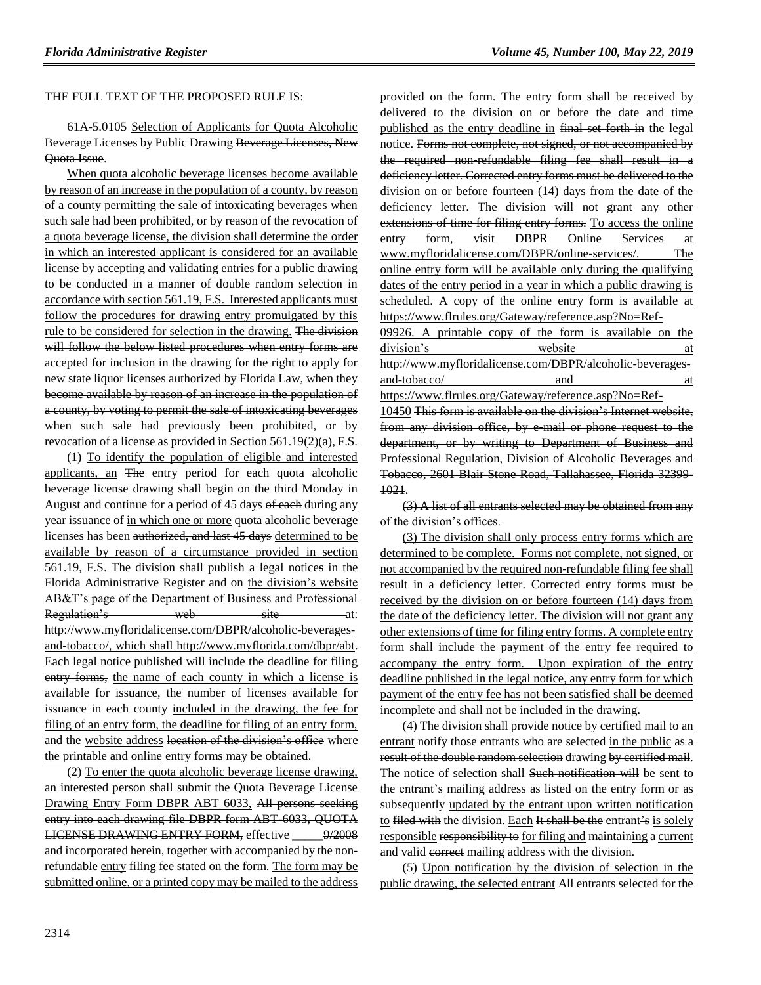#### THE FULL TEXT OF THE PROPOSED RULE IS:

61A-5.0105 Selection of Applicants for Quota Alcoholic Beverage Licenses by Public Drawing Beverage Licenses, New Quota Issue.

When quota alcoholic beverage licenses become available by reason of an increase in the population of a county, by reason of a county permitting the sale of intoxicating beverages when such sale had been prohibited, or by reason of the revocation of a quota beverage license, the division shall determine the order in which an interested applicant is considered for an available license by accepting and validating entries for a public drawing to be conducted in a manner of double random selection in accordance with section 561.19, F.S. Interested applicants must follow the procedures for drawing entry promulgated by this rule to be considered for selection in the drawing. The division will follow the below listed procedures when entry forms are accepted for inclusion in the drawing for the right to apply for new state liquor licenses authorized by Florida Law, when they become available by reason of an increase in the population of a county, by voting to permit the sale of intoxicating beverages when such sale had previously been prohibited, or by revocation of a license as provided in Section 561.19(2)(a), F.S.

(1) To identify the population of eligible and interested applicants, an The entry period for each quota alcoholic beverage license drawing shall begin on the third Monday in August and continue for a period of 45 days of each during any year issuance of in which one or more quota alcoholic beverage licenses has been authorized, and last 45 days determined to be available by reason of a circumstance provided in section 561.19, F.S. The division shall publish a legal notices in the Florida Administrative Register and on the division's website AB&T's page of the Department of Business and Professional Regulation's web site at: http://www.myfloridalicense.com/DBPR/alcoholic-beveragesand-tobacco/, which shall http://www.myflorida.com/dbpr/abt. Each legal notice published will include the deadline for filing entry forms, the name of each county in which a license is available for issuance, the number of licenses available for issuance in each county included in the drawing, the fee for filing of an entry form, the deadline for filing of an entry form, and the website address location of the division's office where the printable and online entry forms may be obtained.

(2) To enter the quota alcoholic beverage license drawing, an interested person shall submit the Quota Beverage License Drawing Entry Form DBPR ABT 6033, All persons seeking entry into each drawing file DBPR form ABT-6033, QUOTA LICENSE DRAWING ENTRY FORM, effective \_\_\_\_\_9/2008 and incorporated herein, together with accompanied by the nonrefundable entry filing fee stated on the form. The form may be submitted online, or a printed copy may be mailed to the address provided on the form. The entry form shall be received by delivered to the division on or before the date and time published as the entry deadline in final set forth in the legal notice. Forms not complete, not signed, or not accompanied by the required non-refundable filing fee shall result in a deficiency letter. Corrected entry forms must be delivered to the division on or before fourteen (14) days from the date of the deficiency letter. The division will not grant any other extensions of time for filing entry forms. To access the online entry form, visit DBPR Online Services at www.myfloridalicense.com/DBPR/online-services/. The online entry form will be available only during the qualifying dates of the entry period in a year in which a public drawing is scheduled. A copy of the online entry form is available at [https://www.flrules.org/Gateway/reference.asp?No=Ref-](https://www.flrules.org/Gateway/reference.asp?No=Ref-09926)

[09926.](https://www.flrules.org/Gateway/reference.asp?No=Ref-09926) A printable copy of the form is available on the division's website at http://www.myfloridalicense.com/DBPR/alcoholic-beveragesand-tobacco/ and at https://www.flrules.org/Gateway/reference.asp?No=Ref-

10450 This form is available on the division's Internet website, from any division office, by e-mail or phone request to the department, or by writing to Department of Business and Professional Regulation, Division of Alcoholic Beverages and Tobacco, 2601 Blair Stone Road, Tallahassee, Florida 32399- 1021.

(3) A list of all entrants selected may be obtained from any of the division's offices.

(3) The division shall only process entry forms which are determined to be complete. Forms not complete, not signed, or not accompanied by the required non-refundable filing fee shall result in a deficiency letter. Corrected entry forms must be received by the division on or before fourteen (14) days from the date of the deficiency letter. The division will not grant any other extensions of time for filing entry forms. A complete entry form shall include the payment of the entry fee required to accompany the entry form. Upon expiration of the entry deadline published in the legal notice, any entry form for which payment of the entry fee has not been satisfied shall be deemed incomplete and shall not be included in the drawing.

(4) The division shall provide notice by certified mail to an entrant notify those entrants who are selected in the public as a result of the double random selection drawing by certified mail. The notice of selection shall Such notification will be sent to the entrant's mailing address as listed on the entry form or as subsequently updated by the entrant upon written notification to filed with the division. Each It shall be the entrant's is solely responsible responsibility to for filing and maintaining a current and valid correct mailing address with the division.

(5) Upon notification by the division of selection in the public drawing, the selected entrant All entrants selected for the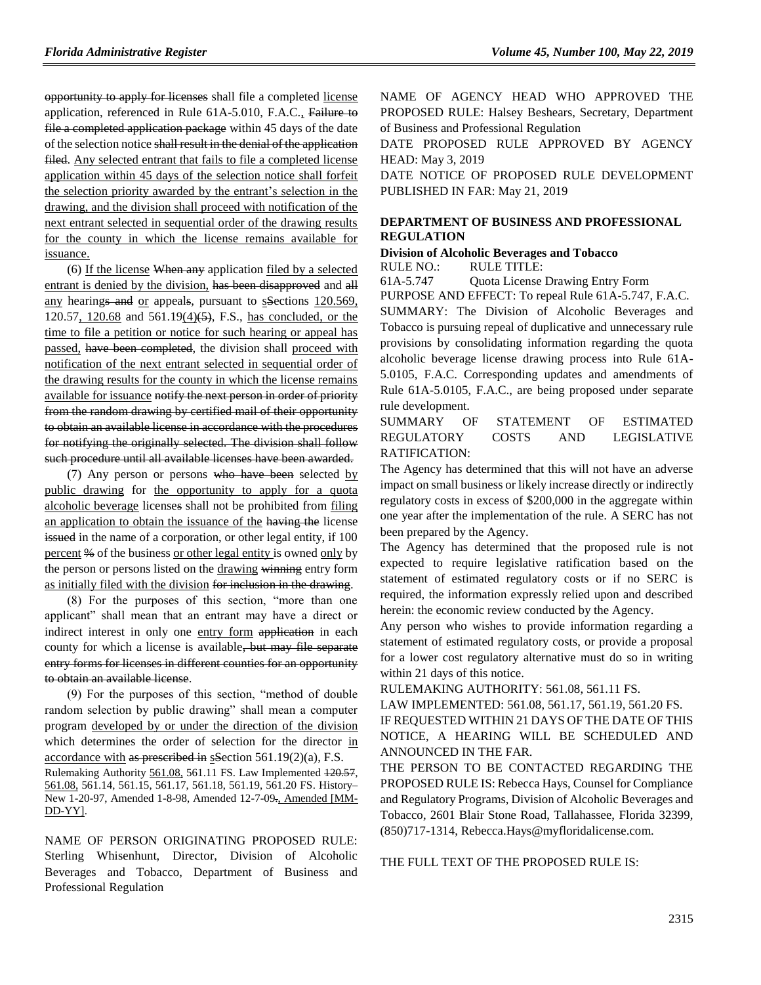opportunity to apply for licenses shall file a completed license application, referenced in Rule 61A-5.010, F.A.C., Failure to file a completed application package within 45 days of the date of the selection notice shall result in the denial of the application filed. Any selected entrant that fails to file a completed license application within 45 days of the selection notice shall forfeit the selection priority awarded by the entrant's selection in the

drawing, and the division shall proceed with notification of the next entrant selected in sequential order of the drawing results for the county in which the license remains available for issuance.

(6) If the license When any application filed by a selected entrant is denied by the division, has been disapproved and all any hearings and or appeals, pursuant to sections 120.569, 120.57, 120.68 and 561.19(4)(5), F.S., has concluded, or the time to file a petition or notice for such hearing or appeal has passed, have been completed, the division shall proceed with notification of the next entrant selected in sequential order of the drawing results for the county in which the license remains available for issuance notify the next person in order of priority from the random drawing by certified mail of their opportunity to obtain an available license in accordance with the procedures for notifying the originally selected. The division shall follow such procedure until all available licenses have been awarded.

(7) Any person or persons who have been selected by public drawing for the opportunity to apply for a quota alcoholic beverage licenses shall not be prohibited from filing an application to obtain the issuance of the having the license issued in the name of a corporation, or other legal entity, if 100 percent % of the business or other legal entity is owned only by the person or persons listed on the drawing winning entry form as initially filed with the division for inclusion in the drawing.

(8) For the purposes of this section, "more than one applicant" shall mean that an entrant may have a direct or indirect interest in only one entry form application in each county for which a license is available, but may file separate entry forms for licenses in different counties for an opportunity to obtain an available license.

(9) For the purposes of this section, "method of double random selection by public drawing" shall mean a computer program developed by or under the direction of the division which determines the order of selection for the director in accordance with as prescribed in sSection 561.19(2)(a), F.S. Rulemaking Authority 561.08, 561.11 FS. Law Implemented 120.57, 561.08, 561.14, 561.15, 561.17, 561.18, 561.19, 561.20 FS. History– New 1-20-97, Amended 1-8-98, Amended 12-7-09., Amended [MM-DD-YY].

NAME OF PERSON ORIGINATING PROPOSED RULE: Sterling Whisenhunt, Director, Division of Alcoholic Beverages and Tobacco, Department of Business and Professional Regulation

NAME OF AGENCY HEAD WHO APPROVED THE PROPOSED RULE: Halsey Beshears, Secretary, Department of Business and Professional Regulation

DATE PROPOSED RULE APPROVED BY AGENCY HEAD: May 3, 2019

DATE NOTICE OF PROPOSED RULE DEVELOPMENT PUBLISHED IN FAR: May 21, 2019

#### **[DEPARTMENT OF BUSINESS AND PROFESSIONAL](https://www.flrules.org/gateway/department.asp?id=61)  [REGULATION](https://www.flrules.org/gateway/department.asp?id=61)**

### **[Division of Alcoholic Beverages and Tobacco](https://www.flrules.org/gateway/organization.asp?id=247)**

RULE NO.: RULE TITLE:

[61A-5.747](https://www.flrules.org/gateway/ruleNo.asp?id=61A-5.747) Quota License Drawing Entry Form

PURPOSE AND EFFECT: To repeal Rule 61A-5.747, F.A.C. SUMMARY: The Division of Alcoholic Beverages and Tobacco is pursuing repeal of duplicative and unnecessary rule provisions by consolidating information regarding the quota alcoholic beverage license drawing process into Rule 61A-5.0105, F.A.C. Corresponding updates and amendments of Rule 61A-5.0105, F.A.C., are being proposed under separate rule development.

#### SUMMARY OF STATEMENT OF ESTIMATED REGULATORY COSTS AND LEGISLATIVE RATIFICATION:

The Agency has determined that this will not have an adverse impact on small business or likely increase directly or indirectly regulatory costs in excess of \$200,000 in the aggregate within one year after the implementation of the rule. A SERC has not been prepared by the Agency.

The Agency has determined that the proposed rule is not expected to require legislative ratification based on the statement of estimated regulatory costs or if no SERC is required, the information expressly relied upon and described herein: the economic review conducted by the Agency.

Any person who wishes to provide information regarding a statement of estimated regulatory costs, or provide a proposal for a lower cost regulatory alternative must do so in writing within 21 days of this notice.

RULEMAKING AUTHORITY: [561.08,](https://www.flrules.org/gateway/statute.asp?id=561.08) [561.11 FS.](https://www.flrules.org/gateway/statute.asp?id=%20561.11%20F.S.)

LAW IMPLEMENTED: [561.08,](https://www.flrules.org/gateway/statute.asp?id=561.08) [561.17,](https://www.flrules.org/gateway/statute.asp?id=%20561.17) [561.19,](https://www.flrules.org/gateway/statute.asp?id=%20561.19) [561.20 FS.](https://www.flrules.org/gateway/statute.asp?id=%20561.20%20F.S.) IF REQUESTED WITHIN 21 DAYS OF THE DATE OF THIS NOTICE, A HEARING WILL BE SCHEDULED AND ANNOUNCED IN THE FAR.

THE PERSON TO BE CONTACTED REGARDING THE PROPOSED RULE IS: Rebecca Hays, Counsel for Compliance and Regulatory Programs, Division of Alcoholic Beverages and Tobacco, 2601 Blair Stone Road, Tallahassee, Florida 32399, (850)717-1314, Rebecca.Hays@myfloridalicense.com.

THE FULL TEXT OF THE PROPOSED RULE IS: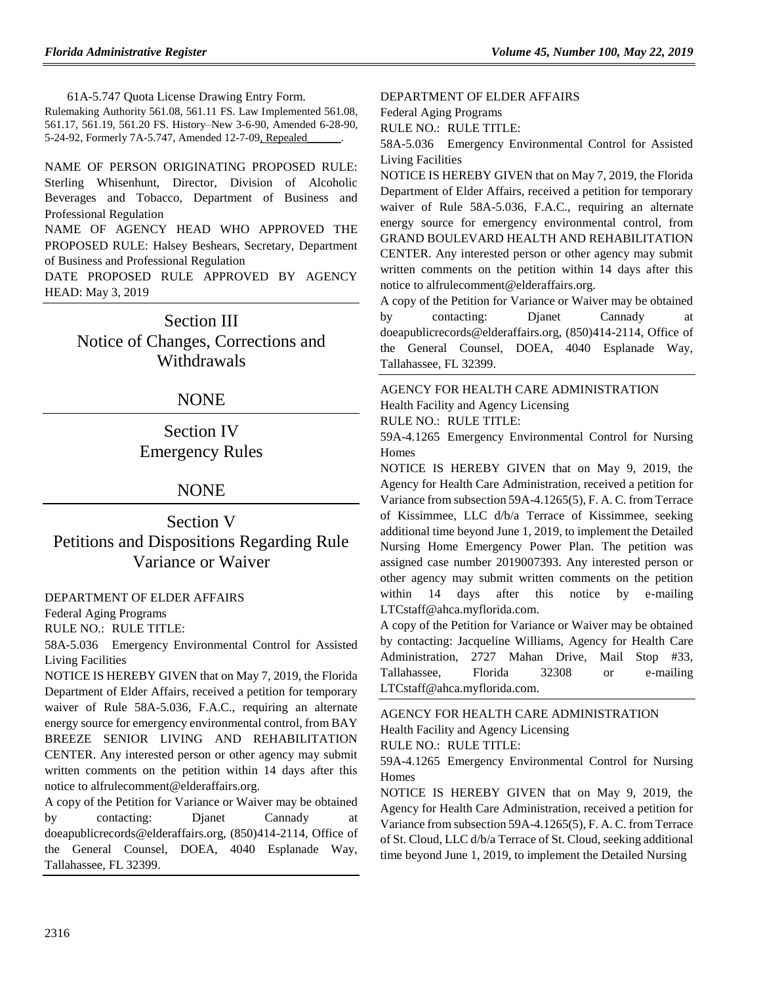61A-5.747 Quota License Drawing Entry Form.

Rulemaking Authority 561.08, 561.11 FS. Law Implemented 561.08, 561.17, 561.19, 561.20 FS. History–New 3-6-90, Amended 6-28-90, 5-24-92, Formerly 7A-5.747, Amended 12-7-09, Repealed

NAME OF PERSON ORIGINATING PROPOSED RULE: Sterling Whisenhunt, Director, Division of Alcoholic Beverages and Tobacco, Department of Business and Professional Regulation

NAME OF AGENCY HEAD WHO APPROVED THE PROPOSED RULE: Halsey Beshears, Secretary, Department of Business and Professional Regulation

DATE PROPOSED RULE APPROVED BY AGENCY HEAD: May 3, 2019

# Section III

Notice of Changes, Corrections and **Withdrawals** 

### NONE

# Section IV Emergency Rules

### NONE

Section V Petitions and Dispositions Regarding Rule Variance or Waiver

[DEPARTMENT OF ELDER AFFAIRS](https://www.flrules.org/gateway/department.asp?id=58)

[Federal Aging Programs](https://www.flrules.org/gateway/organization.asp?id=179)

RULE NO.: RULE TITLE:

[58A-5.036](https://www.flrules.org/gateway/ruleNo.asp?id=58A-5.036) Emergency Environmental Control for Assisted Living Facilities

NOTICE IS HEREBY GIVEN that on May 7, 2019, the Florida Department of Elder Affairs, received a petition for temporary waiver of Rule 58A-5.036, F.A.C., requiring an alternate energy source for emergency environmental control, from BAY BREEZE SENIOR LIVING AND REHABILITATION CENTER. Any interested person or other agency may submit written comments on the petition within 14 days after this notice to alfrulecomment@elderaffairs.org.

A copy of the Petition for Variance or Waiver may be obtained by contacting: Dianet Cannady at doeapublicrecords@elderaffairs.org, (850)414-2114, Office of the General Counsel, DOEA, 4040 Esplanade Way, Tallahassee, FL 32399.

#### [DEPARTMENT OF ELDER AFFAIRS](https://www.flrules.org/gateway/department.asp?id=58)

[Federal Aging Programs](https://www.flrules.org/gateway/organization.asp?id=179)

RULE NO.: RULE TITLE:

[58A-5.036](https://www.flrules.org/gateway/ruleNo.asp?id=58A-5.036) Emergency Environmental Control for Assisted Living Facilities

NOTICE IS HEREBY GIVEN that on May 7, 2019, the Florida Department of Elder Affairs, received a petition for temporary waiver of Rule 58A-5.036, F.A.C., requiring an alternate energy source for emergency environmental control, from GRAND BOULEVARD HEALTH AND REHABILITATION CENTER. Any interested person or other agency may submit written comments on the petition within 14 days after this notice to alfrulecomment@elderaffairs.org.

A copy of the Petition for Variance or Waiver may be obtained by contacting: Djanet Cannady at doeapublicrecords@elderaffairs.org, (850)414-2114, Office of the General Counsel, DOEA, 4040 Esplanade Way, Tallahassee, FL 32399.

### [AGENCY FOR HEALTH CARE ADMINISTRATION](https://www.flrules.org/gateway/department.asp?id=59) [Health Facility and Agency Licensing](https://www.flrules.org/gateway/organization.asp?id=186)

RULE NO.: RULE TITLE:

[59A-4.1265](https://www.flrules.org/gateway/ruleNo.asp?id=59A-4.1265) Emergency Environmental Control for Nursing Homes

NOTICE IS HEREBY GIVEN that on May 9, 2019, the Agency for Health Care Administration, received a petition for Variance from subsection 59A-4.1265(5), F. A. C. from Terrace of Kissimmee, LLC d/b/a Terrace of Kissimmee, seeking additional time beyond June 1, 2019, to implement the Detailed Nursing Home Emergency Power Plan. The petition was assigned case number 2019007393. Any interested person or other agency may submit written comments on the petition within 14 days after this notice by e-mailing LTCstaff@ahca.myflorida.com.

A copy of the Petition for Variance or Waiver may be obtained by contacting: Jacqueline Williams, Agency for Health Care Administration, 2727 Mahan Drive, Mail Stop #33, Tallahassee, Florida 32308 or e-mailing LTCstaff@ahca.myflorida.com.

[AGENCY FOR HEALTH CARE ADMINISTRATION](https://www.flrules.org/gateway/department.asp?id=59) [Health Facility and Agency Licensing](https://www.flrules.org/gateway/organization.asp?id=186) RULE NO.: RULE TITLE:

[59A-4.1265](https://www.flrules.org/gateway/ruleNo.asp?id=59A-4.1265) Emergency Environmental Control for Nursing Homes

NOTICE IS HEREBY GIVEN that on May 9, 2019, the Agency for Health Care Administration, received a petition for Variance from subsection 59A-4.1265(5), F. A. C. from Terrace of St. Cloud, LLC d/b/a Terrace of St. Cloud, seeking additional time beyond June 1, 2019, to implement the Detailed Nursing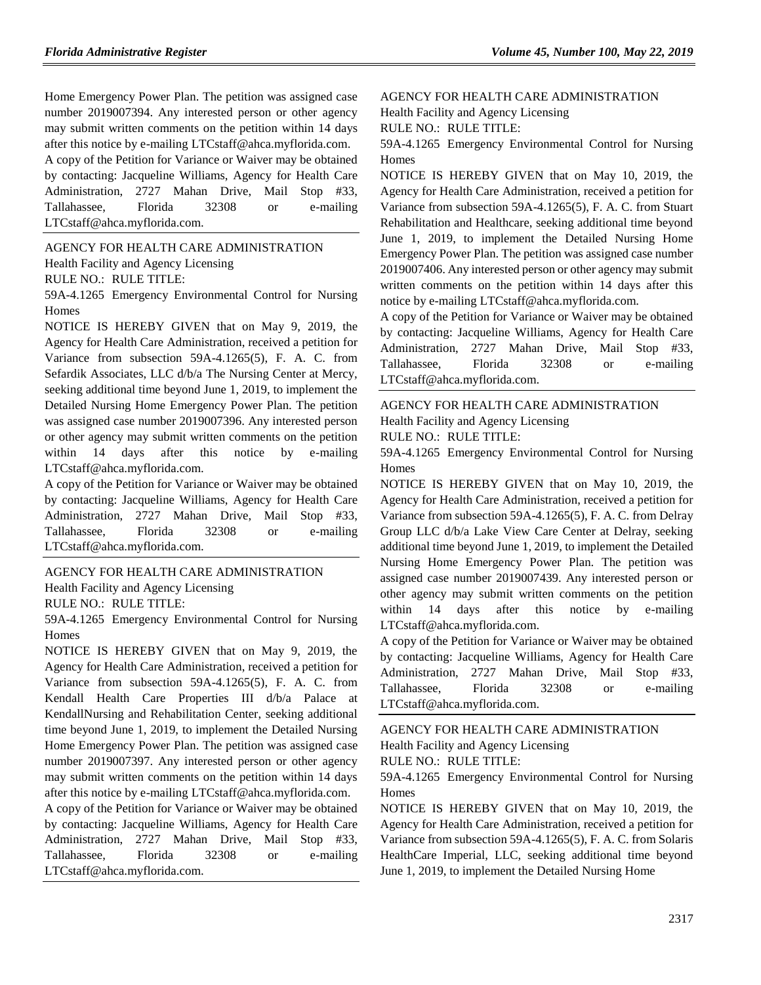Home Emergency Power Plan. The petition was assigned case number 2019007394. Any interested person or other agency may submit written comments on the petition within 14 days after this notice by e-mailing LTCstaff@ahca.myflorida.com.

A copy of the Petition for Variance or Waiver may be obtained by contacting: Jacqueline Williams, Agency for Health Care Administration, 2727 Mahan Drive, Mail Stop #33, Tallahassee, Florida 32308 or e-mailing LTCstaff@ahca.myflorida.com.

[AGENCY FOR HEALTH CARE ADMINISTRATION](https://www.flrules.org/gateway/department.asp?id=59) [Health Facility and Agency Licensing](https://www.flrules.org/gateway/organization.asp?id=186) RULE NO.: RULE TITLE:

[59A-4.1265](https://www.flrules.org/gateway/ruleNo.asp?id=59A-4.1265) Emergency Environmental Control for Nursing Homes

NOTICE IS HEREBY GIVEN that on May 9, 2019, the Agency for Health Care Administration, received a petition for Variance from subsection 59A-4.1265(5), F. A. C. from Sefardik Associates, LLC d/b/a The Nursing Center at Mercy, seeking additional time beyond June 1, 2019, to implement the Detailed Nursing Home Emergency Power Plan. The petition was assigned case number 2019007396. Any interested person or other agency may submit written comments on the petition within 14 days after this notice by e-mailing LTCstaff@ahca.myflorida.com.

A copy of the Petition for Variance or Waiver may be obtained by contacting: Jacqueline Williams, Agency for Health Care Administration, 2727 Mahan Drive, Mail Stop #33, Tallahassee, Florida 32308 or e-mailing LTCstaff@ahca.myflorida.com.

[AGENCY FOR HEALTH CARE ADMINISTRATION](https://www.flrules.org/gateway/department.asp?id=59)

[Health Facility and Agency Licensing](https://www.flrules.org/gateway/organization.asp?id=186)

RULE NO.: RULE TITLE:

[59A-4.1265](https://www.flrules.org/gateway/ruleNo.asp?id=59A-4.1265) Emergency Environmental Control for Nursing Homes

NOTICE IS HEREBY GIVEN that on May 9, 2019, the Agency for Health Care Administration, received a petition for Variance from subsection 59A-4.1265(5), F. A. C. from Kendall Health Care Properties III d/b/a Palace at KendallNursing and Rehabilitation Center, seeking additional time beyond June 1, 2019, to implement the Detailed Nursing Home Emergency Power Plan. The petition was assigned case number 2019007397. Any interested person or other agency may submit written comments on the petition within 14 days after this notice by e-mailing LTCstaff@ahca.myflorida.com.

A copy of the Petition for Variance or Waiver may be obtained by contacting: Jacqueline Williams, Agency for Health Care Administration, 2727 Mahan Drive, Mail Stop #33, Tallahassee, Florida 32308 or e-mailing LTCstaff@ahca.myflorida.com.

[AGENCY FOR HEALTH CARE ADMINISTRATION](https://www.flrules.org/gateway/department.asp?id=59)

[Health Facility and Agency Licensing](https://www.flrules.org/gateway/organization.asp?id=186)

RULE NO.: RULE TITLE:

[59A-4.1265](https://www.flrules.org/gateway/ruleNo.asp?id=59A-4.1265) Emergency Environmental Control for Nursing Homes

NOTICE IS HEREBY GIVEN that on May 10, 2019, the Agency for Health Care Administration, received a petition for Variance from subsection 59A-4.1265(5), F. A. C. from Stuart Rehabilitation and Healthcare, seeking additional time beyond June 1, 2019, to implement the Detailed Nursing Home Emergency Power Plan. The petition was assigned case number 2019007406. Any interested person or other agency may submit written comments on the petition within 14 days after this notice by e-mailing LTCstaff@ahca.myflorida.com.

A copy of the Petition for Variance or Waiver may be obtained by contacting: Jacqueline Williams, Agency for Health Care Administration, 2727 Mahan Drive, Mail Stop #33, Tallahassee, Florida 32308 or e-mailing LTCstaff@ahca.myflorida.com.

[AGENCY FOR HEALTH CARE ADMINISTRATION](https://www.flrules.org/gateway/department.asp?id=59) [Health Facility and Agency Licensing](https://www.flrules.org/gateway/organization.asp?id=186)

RULE NO.: RULE TITLE:

[59A-4.1265](https://www.flrules.org/gateway/ruleNo.asp?id=59A-4.1265) Emergency Environmental Control for Nursing Homes

NOTICE IS HEREBY GIVEN that on May 10, 2019, the Agency for Health Care Administration, received a petition for Variance from subsection 59A-4.1265(5), F. A. C. from Delray Group LLC d/b/a Lake View Care Center at Delray, seeking additional time beyond June 1, 2019, to implement the Detailed Nursing Home Emergency Power Plan. The petition was assigned case number 2019007439. Any interested person or other agency may submit written comments on the petition within 14 days after this notice by e-mailing LTCstaff@ahca.myflorida.com.

A copy of the Petition for Variance or Waiver may be obtained by contacting: Jacqueline Williams, Agency for Health Care Administration, 2727 Mahan Drive, Mail Stop #33, Tallahassee, Florida 32308 or e-mailing LTCstaff@ahca.myflorida.com.

[AGENCY FOR HEALTH CARE ADMINISTRATION](https://www.flrules.org/gateway/department.asp?id=59)

[Health Facility and Agency Licensing](https://www.flrules.org/gateway/organization.asp?id=186)

RULE NO.: RULE TITLE:

[59A-4.1265](https://www.flrules.org/gateway/ruleNo.asp?id=59A-4.1265) Emergency Environmental Control for Nursing Homes

NOTICE IS HEREBY GIVEN that on May 10, 2019, the Agency for Health Care Administration, received a petition for Variance from subsection 59A-4.1265(5), F. A. C. from Solaris HealthCare Imperial, LLC, seeking additional time beyond June 1, 2019, to implement the Detailed Nursing Home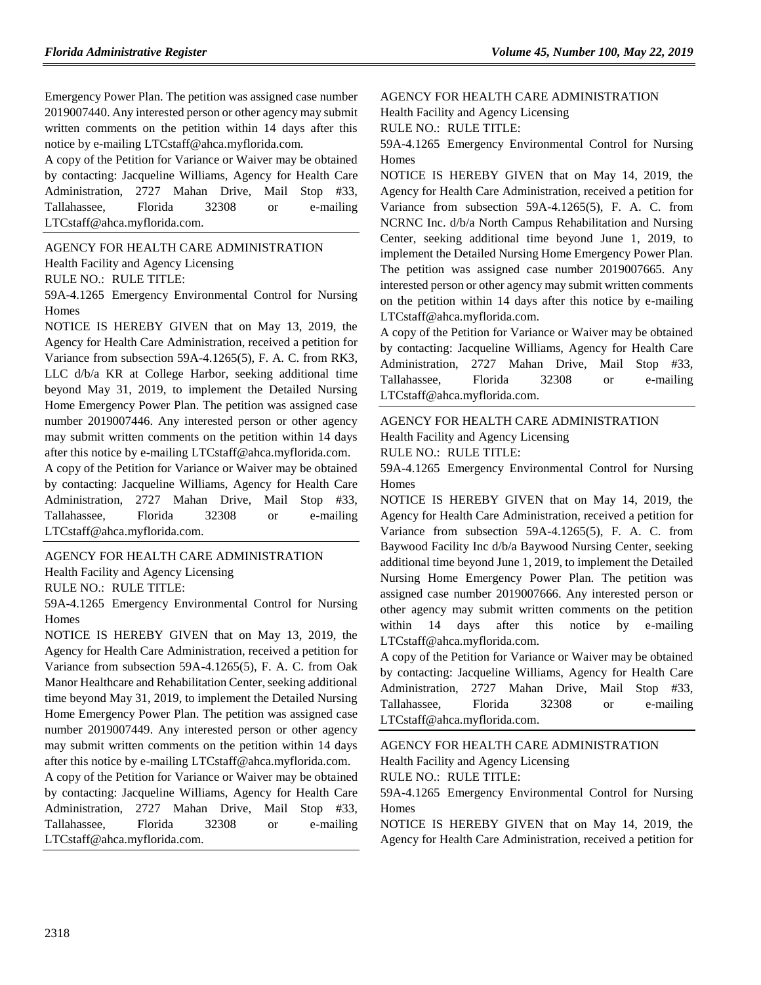Emergency Power Plan. The petition was assigned case number 2019007440. Any interested person or other agency may submit written comments on the petition within 14 days after this notice by e-mailing LTCstaff@ahca.myflorida.com.

A copy of the Petition for Variance or Waiver may be obtained by contacting: Jacqueline Williams, Agency for Health Care Administration, 2727 Mahan Drive, Mail Stop #33, Tallahassee, Florida 32308 or e-mailing LTCstaff@ahca.myflorida.com.

[AGENCY FOR HEALTH CARE ADMINISTRATION](https://www.flrules.org/gateway/department.asp?id=59) [Health Facility and Agency Licensing](https://www.flrules.org/gateway/organization.asp?id=186) RULE NO.: RULE TITLE:

[59A-4.1265](https://www.flrules.org/gateway/ruleNo.asp?id=59A-4.1265) Emergency Environmental Control for Nursing Homes

NOTICE IS HEREBY GIVEN that on May 13, 2019, the Agency for Health Care Administration, received a petition for Variance from subsection 59A-4.1265(5), F. A. C. from RK3, LLC d/b/a KR at College Harbor, seeking additional time beyond May 31, 2019, to implement the Detailed Nursing Home Emergency Power Plan. The petition was assigned case number 2019007446. Any interested person or other agency may submit written comments on the petition within 14 days after this notice by e-mailing LTCstaff@ahca.myflorida.com.

A copy of the Petition for Variance or Waiver may be obtained by contacting: Jacqueline Williams, Agency for Health Care Administration, 2727 Mahan Drive, Mail Stop #33, Tallahassee, Florida 32308 or e-mailing LTCstaff@ahca.myflorida.com.

[AGENCY FOR HEALTH CARE ADMINISTRATION](https://www.flrules.org/gateway/department.asp?id=59) [Health Facility and Agency Licensing](https://www.flrules.org/gateway/organization.asp?id=186) RULE NO.: RULE TITLE:

[59A-4.1265](https://www.flrules.org/gateway/ruleNo.asp?id=59A-4.1265) Emergency Environmental Control for Nursing Homes

NOTICE IS HEREBY GIVEN that on May 13, 2019, the Agency for Health Care Administration, received a petition for Variance from subsection 59A-4.1265(5), F. A. C. from Oak Manor Healthcare and Rehabilitation Center, seeking additional time beyond May 31, 2019, to implement the Detailed Nursing Home Emergency Power Plan. The petition was assigned case number 2019007449. Any interested person or other agency may submit written comments on the petition within 14 days after this notice by e-mailing LTCstaff@ahca.myflorida.com.

A copy of the Petition for Variance or Waiver may be obtained by contacting: Jacqueline Williams, Agency for Health Care Administration, 2727 Mahan Drive, Mail Stop #33, Tallahassee, Florida 32308 or e-mailing LTCstaff@ahca.myflorida.com.

[AGENCY FOR HEALTH CARE ADMINISTRATION](https://www.flrules.org/gateway/department.asp?id=59)

[Health Facility and Agency Licensing](https://www.flrules.org/gateway/organization.asp?id=186)

RULE NO.: RULE TITLE:

[59A-4.1265](https://www.flrules.org/gateway/ruleNo.asp?id=59A-4.1265) Emergency Environmental Control for Nursing Homes

NOTICE IS HEREBY GIVEN that on May 14, 2019, the Agency for Health Care Administration, received a petition for Variance from subsection 59A-4.1265(5), F. A. C. from NCRNC Inc. d/b/a North Campus Rehabilitation and Nursing Center, seeking additional time beyond June 1, 2019, to implement the Detailed Nursing Home Emergency Power Plan. The petition was assigned case number 2019007665. Any interested person or other agency may submit written comments on the petition within 14 days after this notice by e-mailing LTCstaff@ahca.myflorida.com.

A copy of the Petition for Variance or Waiver may be obtained by contacting: Jacqueline Williams, Agency for Health Care Administration, 2727 Mahan Drive, Mail Stop #33, Tallahassee, Florida 32308 or e-mailing LTCstaff@ahca.myflorida.com.

#### [AGENCY FOR HEALTH CARE ADMINISTRATION](https://www.flrules.org/gateway/department.asp?id=59) [Health Facility and Agency Licensing](https://www.flrules.org/gateway/organization.asp?id=186)

RULE NO.: RULE TITLE:

[59A-4.1265](https://www.flrules.org/gateway/ruleNo.asp?id=59A-4.1265) Emergency Environmental Control for Nursing Homes

NOTICE IS HEREBY GIVEN that on May 14, 2019, the Agency for Health Care Administration, received a petition for Variance from subsection 59A-4.1265(5), F. A. C. from Baywood Facility Inc d/b/a Baywood Nursing Center, seeking additional time beyond June 1, 2019, to implement the Detailed Nursing Home Emergency Power Plan. The petition was assigned case number 2019007666. Any interested person or other agency may submit written comments on the petition within 14 days after this notice by e-mailing LTCstaff@ahca.myflorida.com.

A copy of the Petition for Variance or Waiver may be obtained by contacting: Jacqueline Williams, Agency for Health Care Administration, 2727 Mahan Drive, Mail Stop #33, Tallahassee, Florida 32308 or e-mailing LTCstaff@ahca.myflorida.com.

[AGENCY FOR HEALTH CARE ADMINISTRATION](https://www.flrules.org/gateway/department.asp?id=59) [Health Facility and Agency Licensing](https://www.flrules.org/gateway/organization.asp?id=186) RULE NO.: RULE TITLE:

[59A-4.1265](https://www.flrules.org/gateway/ruleNo.asp?id=59A-4.1265) Emergency Environmental Control for Nursing Homes

NOTICE IS HEREBY GIVEN that on May 14, 2019, the Agency for Health Care Administration, received a petition for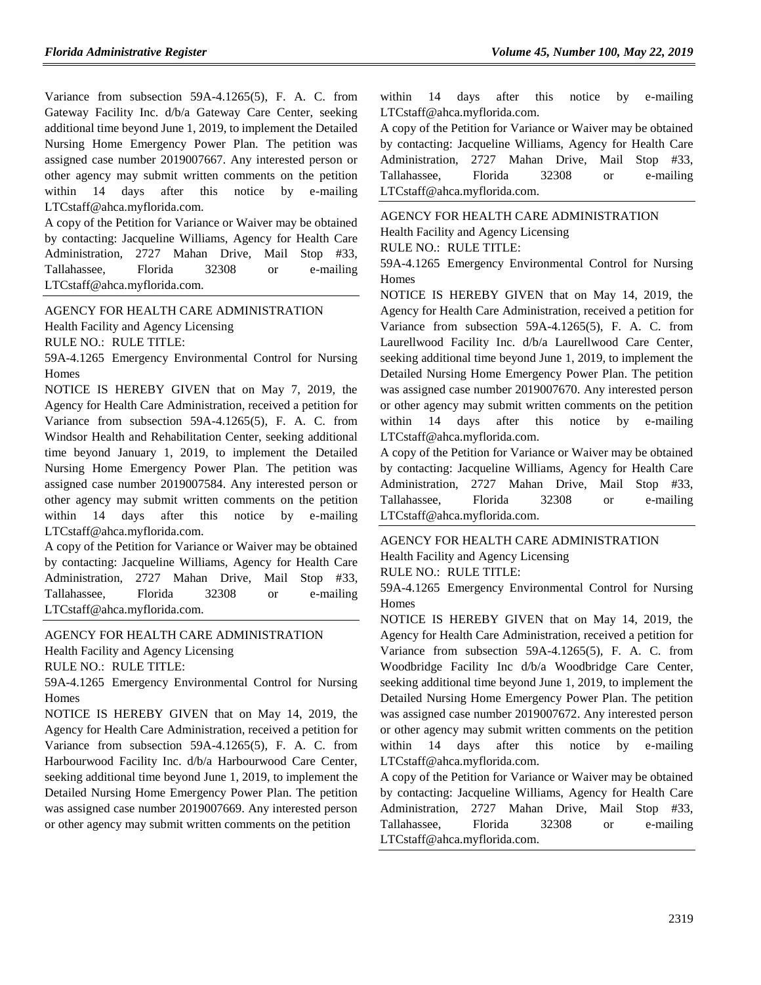Variance from subsection 59A-4.1265(5), F. A. C. from Gateway Facility Inc. d/b/a Gateway Care Center, seeking additional time beyond June 1, 2019, to implement the Detailed Nursing Home Emergency Power Plan. The petition was assigned case number 2019007667. Any interested person or other agency may submit written comments on the petition within 14 days after this notice by e-mailing LTCstaff@ahca.myflorida.com.

A copy of the Petition for Variance or Waiver may be obtained by contacting: Jacqueline Williams, Agency for Health Care Administration, 2727 Mahan Drive, Mail Stop #33, Tallahassee, Florida 32308 or e-mailing LTCstaff@ahca.myflorida.com.

[AGENCY FOR HEALTH CARE ADMINISTRATION](https://www.flrules.org/gateway/department.asp?id=59) [Health Facility and Agency Licensing](https://www.flrules.org/gateway/organization.asp?id=186)

RULE NO.: RULE TITLE:

[59A-4.1265](https://www.flrules.org/gateway/ruleNo.asp?id=59A-4.1265) Emergency Environmental Control for Nursing Homes

NOTICE IS HEREBY GIVEN that on May 7, 2019, the Agency for Health Care Administration, received a petition for Variance from subsection 59A-4.1265(5), F. A. C. from Windsor Health and Rehabilitation Center, seeking additional time beyond January 1, 2019, to implement the Detailed Nursing Home Emergency Power Plan. The petition was assigned case number 2019007584. Any interested person or other agency may submit written comments on the petition within 14 days after this notice by e-mailing LTCstaff@ahca.myflorida.com.

A copy of the Petition for Variance or Waiver may be obtained by contacting: Jacqueline Williams, Agency for Health Care Administration, 2727 Mahan Drive, Mail Stop #33, Tallahassee, Florida 32308 or e-mailing LTCstaff@ahca.myflorida.com.

[AGENCY FOR HEALTH CARE ADMINISTRATION](https://www.flrules.org/gateway/department.asp?id=59) [Health Facility and Agency Licensing](https://www.flrules.org/gateway/organization.asp?id=186)

RULE NO.: RULE TITLE:

[59A-4.1265](https://www.flrules.org/gateway/ruleNo.asp?id=59A-4.1265) Emergency Environmental Control for Nursing Homes

NOTICE IS HEREBY GIVEN that on May 14, 2019, the Agency for Health Care Administration, received a petition for Variance from subsection 59A-4.1265(5), F. A. C. from Harbourwood Facility Inc. d/b/a Harbourwood Care Center, seeking additional time beyond June 1, 2019, to implement the Detailed Nursing Home Emergency Power Plan. The petition was assigned case number 2019007669. Any interested person or other agency may submit written comments on the petition

within 14 days after this notice by e-mailing LTCstaff@ahca.myflorida.com.

A copy of the Petition for Variance or Waiver may be obtained by contacting: Jacqueline Williams, Agency for Health Care Administration, 2727 Mahan Drive, Mail Stop #33, Tallahassee, Florida 32308 or e-mailing LTCstaff@ahca.myflorida.com.

[AGENCY FOR HEALTH CARE ADMINISTRATION](https://www.flrules.org/gateway/department.asp?id=59) [Health Facility and Agency Licensing](https://www.flrules.org/gateway/organization.asp?id=186) RULE NO.: RULE TITLE:

[59A-4.1265](https://www.flrules.org/gateway/ruleNo.asp?id=59A-4.1265) Emergency Environmental Control for Nursing Homes

NOTICE IS HEREBY GIVEN that on May 14, 2019, the Agency for Health Care Administration, received a petition for Variance from subsection 59A-4.1265(5), F. A. C. from Laurellwood Facility Inc. d/b/a Laurellwood Care Center, seeking additional time beyond June 1, 2019, to implement the Detailed Nursing Home Emergency Power Plan. The petition was assigned case number 2019007670. Any interested person or other agency may submit written comments on the petition within 14 days after this notice by e-mailing LTCstaff@ahca.myflorida.com.

A copy of the Petition for Variance or Waiver may be obtained by contacting: Jacqueline Williams, Agency for Health Care Administration, 2727 Mahan Drive, Mail Stop #33, Tallahassee, Florida 32308 or e-mailing LTCstaff@ahca.myflorida.com.

[AGENCY FOR HEALTH CARE ADMINISTRATION](https://www.flrules.org/gateway/department.asp?id=59) [Health Facility and Agency Licensing](https://www.flrules.org/gateway/organization.asp?id=186) RULE NO.: RULE TITLE:

[59A-4.1265](https://www.flrules.org/gateway/ruleNo.asp?id=59A-4.1265) Emergency Environmental Control for Nursing Homes

NOTICE IS HEREBY GIVEN that on May 14, 2019, the Agency for Health Care Administration, received a petition for Variance from subsection 59A-4.1265(5), F. A. C. from Woodbridge Facility Inc d/b/a Woodbridge Care Center, seeking additional time beyond June 1, 2019, to implement the Detailed Nursing Home Emergency Power Plan. The petition was assigned case number 2019007672. Any interested person or other agency may submit written comments on the petition within 14 days after this notice by e-mailing LTCstaff@ahca.myflorida.com.

A copy of the Petition for Variance or Waiver may be obtained by contacting: Jacqueline Williams, Agency for Health Care Administration, 2727 Mahan Drive, Mail Stop #33, Tallahassee, Florida 32308 or e-mailing LTCstaff@ahca.myflorida.com.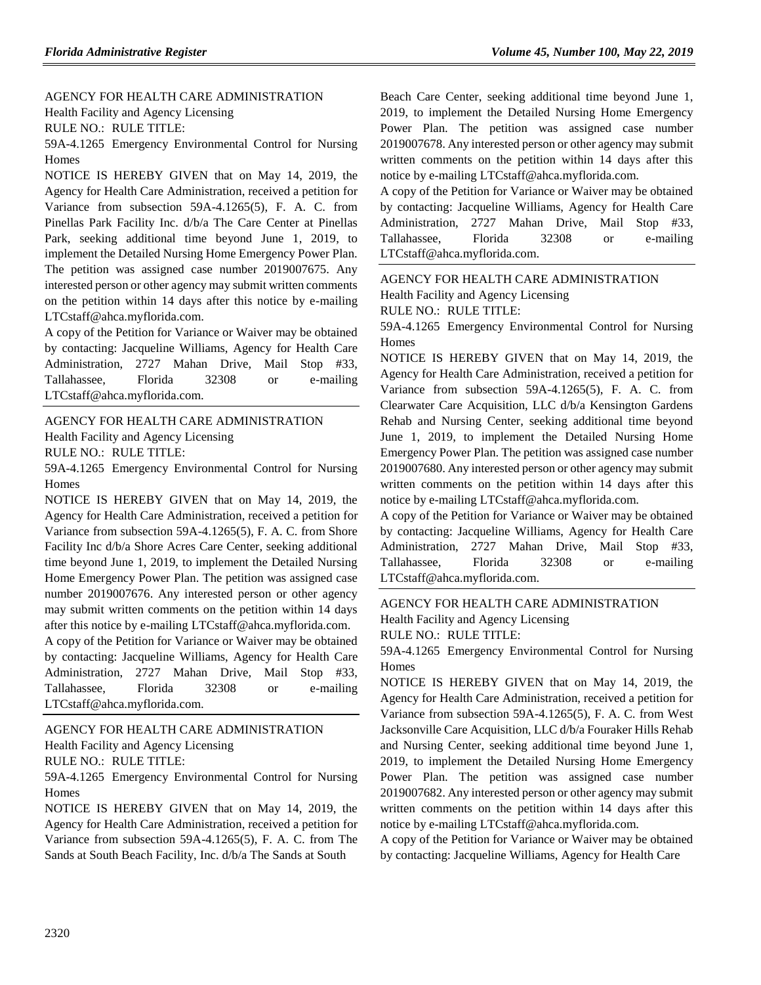[AGENCY FOR HEALTH CARE ADMINISTRATION](https://www.flrules.org/gateway/department.asp?id=59) [Health Facility and Agency Licensing](https://www.flrules.org/gateway/organization.asp?id=186) RULE NO.: RULE TITLE:

[59A-4.1265](https://www.flrules.org/gateway/ruleNo.asp?id=59A-4.1265) Emergency Environmental Control for Nursing Homes

NOTICE IS HEREBY GIVEN that on May 14, 2019, the Agency for Health Care Administration, received a petition for Variance from subsection 59A-4.1265(5), F. A. C. from Pinellas Park Facility Inc. d/b/a The Care Center at Pinellas Park, seeking additional time beyond June 1, 2019, to implement the Detailed Nursing Home Emergency Power Plan. The petition was assigned case number 2019007675. Any interested person or other agency may submit written comments on the petition within 14 days after this notice by e-mailing LTCstaff@ahca.myflorida.com.

A copy of the Petition for Variance or Waiver may be obtained by contacting: Jacqueline Williams, Agency for Health Care Administration, 2727 Mahan Drive, Mail Stop #33, Tallahassee, Florida 32308 or e-mailing LTCstaff@ahca.myflorida.com.

#### [AGENCY FOR HEALTH CARE ADMINISTRATION](https://www.flrules.org/gateway/department.asp?id=59)

[Health Facility and Agency Licensing](https://www.flrules.org/gateway/organization.asp?id=186)

RULE NO.: RULE TITLE:

[59A-4.1265](https://www.flrules.org/gateway/ruleNo.asp?id=59A-4.1265) Emergency Environmental Control for Nursing Homes

NOTICE IS HEREBY GIVEN that on May 14, 2019, the Agency for Health Care Administration, received a petition for Variance from subsection 59A-4.1265(5), F. A. C. from Shore Facility Inc d/b/a Shore Acres Care Center, seeking additional time beyond June 1, 2019, to implement the Detailed Nursing Home Emergency Power Plan. The petition was assigned case number 2019007676. Any interested person or other agency may submit written comments on the petition within 14 days after this notice by e-mailing LTCstaff@ahca.myflorida.com.

A copy of the Petition for Variance or Waiver may be obtained by contacting: Jacqueline Williams, Agency for Health Care Administration, 2727 Mahan Drive, Mail Stop #33, Tallahassee, Florida 32308 or e-mailing LTCstaff@ahca.myflorida.com.

### [AGENCY FOR HEALTH CARE ADMINISTRATION](https://www.flrules.org/gateway/department.asp?id=59)

[Health Facility and Agency Licensing](https://www.flrules.org/gateway/organization.asp?id=186)

RULE NO.: RULE TITLE:

[59A-4.1265](https://www.flrules.org/gateway/ruleNo.asp?id=59A-4.1265) Emergency Environmental Control for Nursing Homes

NOTICE IS HEREBY GIVEN that on May 14, 2019, the Agency for Health Care Administration, received a petition for Variance from subsection 59A-4.1265(5), F. A. C. from The Sands at South Beach Facility, Inc. d/b/a The Sands at South

Beach Care Center, seeking additional time beyond June 1, 2019, to implement the Detailed Nursing Home Emergency Power Plan. The petition was assigned case number 2019007678. Any interested person or other agency may submit written comments on the petition within 14 days after this notice by e-mailing LTCstaff@ahca.myflorida.com.

A copy of the Petition for Variance or Waiver may be obtained by contacting: Jacqueline Williams, Agency for Health Care Administration, 2727 Mahan Drive, Mail Stop #33, Tallahassee, Florida 32308 or e-mailing LTCstaff@ahca.myflorida.com.

#### [AGENCY FOR HEALTH CARE ADMINISTRATION](https://www.flrules.org/gateway/department.asp?id=59)

[Health Facility and Agency Licensing](https://www.flrules.org/gateway/organization.asp?id=186)

RULE NO.: RULE TITLE:

[59A-4.1265](https://www.flrules.org/gateway/ruleNo.asp?id=59A-4.1265) Emergency Environmental Control for Nursing **Homes** 

NOTICE IS HEREBY GIVEN that on May 14, 2019, the Agency for Health Care Administration, received a petition for Variance from subsection 59A-4.1265(5), F. A. C. from Clearwater Care Acquisition, LLC d/b/a Kensington Gardens Rehab and Nursing Center, seeking additional time beyond June 1, 2019, to implement the Detailed Nursing Home Emergency Power Plan. The petition was assigned case number 2019007680. Any interested person or other agency may submit written comments on the petition within 14 days after this notice by e-mailing LTCstaff@ahca.myflorida.com.

A copy of the Petition for Variance or Waiver may be obtained by contacting: Jacqueline Williams, Agency for Health Care Administration, 2727 Mahan Drive, Mail Stop #33, Tallahassee, Florida 32308 or e-mailing LTCstaff@ahca.myflorida.com.

# [AGENCY FOR HEALTH CARE ADMINISTRATION](https://www.flrules.org/gateway/department.asp?id=59) [Health Facility and Agency Licensing](https://www.flrules.org/gateway/organization.asp?id=186)

RULE NO.: RULE TITLE:

[59A-4.1265](https://www.flrules.org/gateway/ruleNo.asp?id=59A-4.1265) Emergency Environmental Control for Nursing Homes

NOTICE IS HEREBY GIVEN that on May 14, 2019, the Agency for Health Care Administration, received a petition for Variance from subsection 59A-4.1265(5), F. A. C. from West Jacksonville Care Acquisition, LLC d/b/a Fouraker Hills Rehab and Nursing Center, seeking additional time beyond June 1, 2019, to implement the Detailed Nursing Home Emergency Power Plan. The petition was assigned case number 2019007682. Any interested person or other agency may submit written comments on the petition within 14 days after this notice by e-mailing LTCstaff@ahca.myflorida.com.

A copy of the Petition for Variance or Waiver may be obtained by contacting: Jacqueline Williams, Agency for Health Care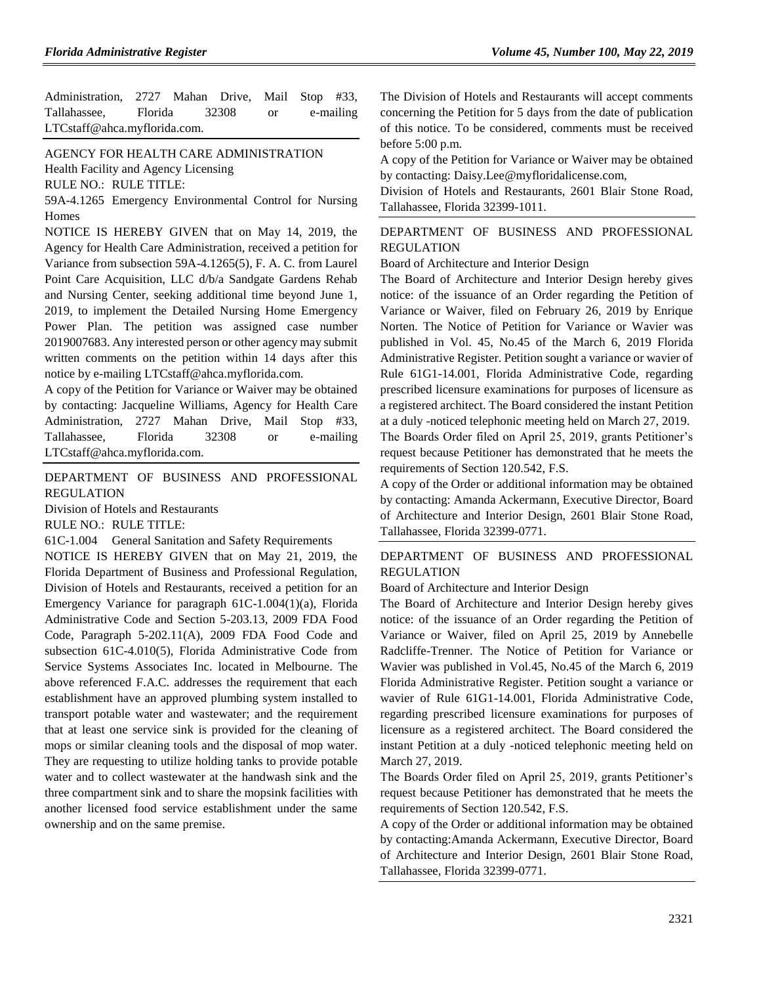Administration, 2727 Mahan Drive, Mail Stop #33, Tallahassee, Florida 32308 or e-mailing LTCstaff@ahca.myflorida.com.

#### [AGENCY FOR HEALTH CARE ADMINISTRATION](https://www.flrules.org/gateway/department.asp?id=59)

[Health Facility and Agency Licensing](https://www.flrules.org/gateway/organization.asp?id=186)

RULE NO.: RULE TITLE:

[59A-4.1265](https://www.flrules.org/gateway/ruleNo.asp?id=59A-4.1265) Emergency Environmental Control for Nursing Homes

NOTICE IS HEREBY GIVEN that on May 14, 2019, the Agency for Health Care Administration, received a petition for Variance from subsection 59A-4.1265(5), F. A. C. from Laurel Point Care Acquisition, LLC d/b/a Sandgate Gardens Rehab and Nursing Center, seeking additional time beyond June 1, 2019, to implement the Detailed Nursing Home Emergency Power Plan. The petition was assigned case number 2019007683. Any interested person or other agency may submit written comments on the petition within 14 days after this notice by e-mailing LTCstaff@ahca.myflorida.com.

A copy of the Petition for Variance or Waiver may be obtained by contacting: Jacqueline Williams, Agency for Health Care Administration, 2727 Mahan Drive, Mail Stop #33, Tallahassee, Florida 32308 or e-mailing LTCstaff@ahca.myflorida.com.

#### [DEPARTMENT OF BUSINESS AND PROFESSIONAL](https://www.flrules.org/gateway/department.asp?id=61)  [REGULATION](https://www.flrules.org/gateway/department.asp?id=61)

[Division of Hotels and Restaurants](https://www.flrules.org/gateway/organization.asp?id=249)

RULE NO.: RULE TITLE:

[61C-1.004](https://www.flrules.org/gateway/ruleNo.asp?id=61C-1.004) General Sanitation and Safety Requirements

NOTICE IS HEREBY GIVEN that on May 21, 2019, the Florida Department of Business and Professional Regulation, Division of Hotels and Restaurants, received a petition for an Emergency Variance for paragraph 61C-1.004(1)(a), Florida Administrative Code and Section 5-203.13, 2009 FDA Food Code, Paragraph 5-202.11(A), 2009 FDA Food Code and subsection 61C-4.010(5), Florida Administrative Code from Service Systems Associates Inc. located in Melbourne. The above referenced F.A.C. addresses the requirement that each establishment have an approved plumbing system installed to transport potable water and wastewater; and the requirement that at least one service sink is provided for the cleaning of mops or similar cleaning tools and the disposal of mop water. They are requesting to utilize holding tanks to provide potable water and to collect wastewater at the handwash sink and the three compartment sink and to share the mopsink facilities with another licensed food service establishment under the same ownership and on the same premise.

The Division of Hotels and Restaurants will accept comments concerning the Petition for 5 days from the date of publication of this notice. To be considered, comments must be received before 5:00 p.m.

A copy of the Petition for Variance or Waiver may be obtained by contacting: Daisy.Lee@myfloridalicense.com,

Division of Hotels and Restaurants, 2601 Blair Stone Road, Tallahassee, Florida 32399-1011.

#### [DEPARTMENT OF BUSINESS AND PROFESSIONAL](https://www.flrules.org/gateway/department.asp?id=61)  [REGULATION](https://www.flrules.org/gateway/department.asp?id=61)

[Board of Architecture and Interior Design](https://www.flrules.org/gateway/organization.asp?id=263)

The Board of Architecture and Interior Design hereby gives notice: of the issuance of an Order regarding the Petition of Variance or Waiver, filed on February 26, 2019 by Enrique Norten. The Notice of Petition for Variance or Wavier was published in Vol. 45, No.45 of the March 6, 2019 Florida Administrative Register. Petition sought a variance or wavier of Rule 61G1-14.001, Florida Administrative Code, regarding prescribed licensure examinations for purposes of licensure as a registered architect. The Board considered the instant Petition at a duly -noticed telephonic meeting held on March 27, 2019.

The Boards Order filed on April 25, 2019, grants Petitioner's request because Petitioner has demonstrated that he meets the requirements of Section 120.542, F.S.

A copy of the Order or additional information may be obtained by contacting: Amanda Ackermann, Executive Director, Board of Architecture and Interior Design, 2601 Blair Stone Road, Tallahassee, Florida 32399-0771.

#### [DEPARTMENT OF BUSINESS AND PROFESSIONAL](https://www.flrules.org/gateway/department.asp?id=61)  [REGULATION](https://www.flrules.org/gateway/department.asp?id=61)

[Board of Architecture and Interior Design](https://www.flrules.org/gateway/organization.asp?id=263)

The Board of Architecture and Interior Design hereby gives notice: of the issuance of an Order regarding the Petition of Variance or Waiver, filed on April 25, 2019 by Annebelle Radcliffe-Trenner. The Notice of Petition for Variance or Wavier was published in Vol.45, No.45 of the March 6, 2019 Florida Administrative Register. Petition sought a variance or wavier of Rule 61G1-14.001, Florida Administrative Code, regarding prescribed licensure examinations for purposes of licensure as a registered architect. The Board considered the instant Petition at a duly -noticed telephonic meeting held on March 27, 2019.

The Boards Order filed on April 25, 2019, grants Petitioner's request because Petitioner has demonstrated that he meets the requirements of Section 120.542, F.S.

A copy of the Order or additional information may be obtained by contacting:Amanda Ackermann, Executive Director, Board of Architecture and Interior Design, 2601 Blair Stone Road, Tallahassee, Florida 32399-0771.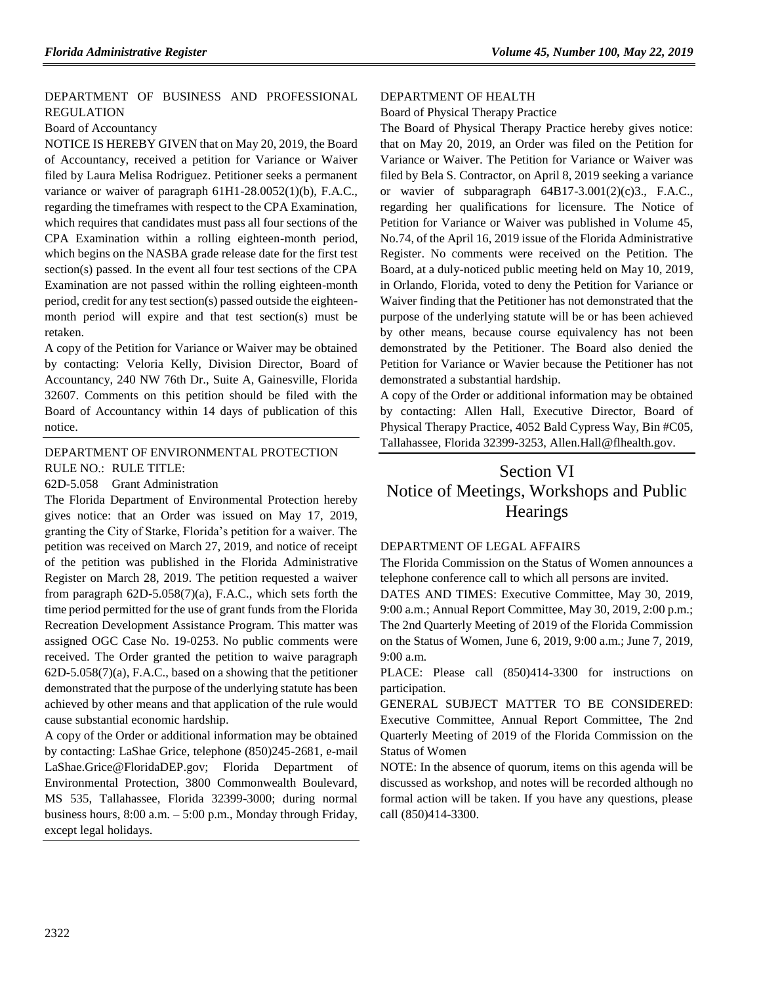#### [DEPARTMENT OF BUSINESS AND PROFESSIONAL](https://www.flrules.org/gateway/department.asp?id=61)  [REGULATION](https://www.flrules.org/gateway/department.asp?id=61)

#### [Board of Accountancy](https://www.flrules.org/gateway/organization.asp?id=280)

NOTICE IS HEREBY GIVEN that on May 20, 2019, the Board of Accountancy, received a petition for Variance or Waiver filed by Laura Melisa Rodriguez. Petitioner seeks a permanent variance or waiver of paragraph 61H1-28.0052(1)(b), F.A.C., regarding the timeframes with respect to the CPA Examination, which requires that candidates must pass all four sections of the CPA Examination within a rolling eighteen-month period, which begins on the NASBA grade release date for the first test section(s) passed. In the event all four test sections of the CPA Examination are not passed within the rolling eighteen-month period, credit for any test section(s) passed outside the eighteenmonth period will expire and that test section(s) must be retaken.

A copy of the Petition for Variance or Waiver may be obtained by contacting: Veloria Kelly, Division Director, Board of Accountancy, 240 NW 76th Dr., Suite A, Gainesville, Florida 32607. Comments on this petition should be filed with the Board of Accountancy within 14 days of publication of this notice.

#### [DEPARTMENT OF ENVIRONMENTAL PROTECTION](https://www.flrules.org/gateway/department.asp?id=62) RULE NO.: RULE TITLE:

[62D-5.058](https://www.flrules.org/gateway/ruleNo.asp?id=62D-5.058) Grant Administration

The Florida Department of Environmental Protection hereby gives notice: that an Order was issued on May 17, 2019, granting the City of Starke, Florida's petition for a waiver. The petition was received on March 27, 2019, and notice of receipt of the petition was published in the Florida Administrative Register on March 28, 2019. The petition requested a waiver from paragraph 62D-5.058(7)(a), F.A.C., which sets forth the time period permitted for the use of grant funds from the Florida Recreation Development Assistance Program. This matter was assigned OGC Case No. 19-0253. No public comments were received. The Order granted the petition to waive paragraph 62D-5.058(7)(a), F.A.C., based on a showing that the petitioner demonstrated that the purpose of the underlying statute has been achieved by other means and that application of the rule would cause substantial economic hardship.

A copy of the Order or additional information may be obtained by contacting: LaShae Grice, telephone (850)245-2681, e-mail LaShae.Grice@FloridaDEP.gov; Florida Department of Environmental Protection, 3800 Commonwealth Boulevard, MS 535, Tallahassee, Florida 32399-3000; during normal business hours, 8:00 a.m. – 5:00 p.m., Monday through Friday, except legal holidays.

#### [DEPARTMENT OF HEALTH](https://www.flrules.org/gateway/department.asp?id=64)

#### [Board of Physical Therapy Practice](https://www.flrules.org/gateway/organization.asp?id=308)

The Board of Physical Therapy Practice hereby gives notice: that on May 20, 2019, an Order was filed on the Petition for Variance or Waiver. The Petition for Variance or Waiver was filed by Bela S. Contractor, on April 8, 2019 seeking a variance or wavier of subparagraph 64B17-3.001(2)(c)3., F.A.C., regarding her qualifications for licensure. The Notice of Petition for Variance or Waiver was published in Volume 45, No.74, of the April 16, 2019 issue of the Florida Administrative Register. No comments were received on the Petition. The Board, at a duly-noticed public meeting held on May 10, 2019, in Orlando, Florida, voted to deny the Petition for Variance or Waiver finding that the Petitioner has not demonstrated that the purpose of the underlying statute will be or has been achieved by other means, because course equivalency has not been demonstrated by the Petitioner. The Board also denied the Petition for Variance or Wavier because the Petitioner has not demonstrated a substantial hardship.

A copy of the Order or additional information may be obtained by contacting: Allen Hall, Executive Director, Board of Physical Therapy Practice, 4052 Bald Cypress Way, Bin #C05, Tallahassee, Florida 32399-3253, Allen.Hall@flhealth.gov.

# Section VI Notice of Meetings, Workshops and Public **Hearings**

#### [DEPARTMENT OF LEGAL AFFAIRS](https://www.flrules.org/gateway/department.asp?id=2)

The Florida Commission on the Status of Women announces a telephone conference call to which all persons are invited.

DATES AND TIMES: Executive Committee, May 30, 2019, 9:00 a.m.; Annual Report Committee, May 30, 2019, 2:00 p.m.; The 2nd Quarterly Meeting of 2019 of the Florida Commission on the Status of Women, June 6, 2019, 9:00 a.m.; June 7, 2019, 9:00 a.m.

PLACE: Please call (850)414-3300 for instructions on participation.

GENERAL SUBJECT MATTER TO BE CONSIDERED: Executive Committee, Annual Report Committee, The 2nd Quarterly Meeting of 2019 of the Florida Commission on the Status of Women

NOTE: In the absence of quorum, items on this agenda will be discussed as workshop, and notes will be recorded although no formal action will be taken. If you have any questions, please call (850)414-3300.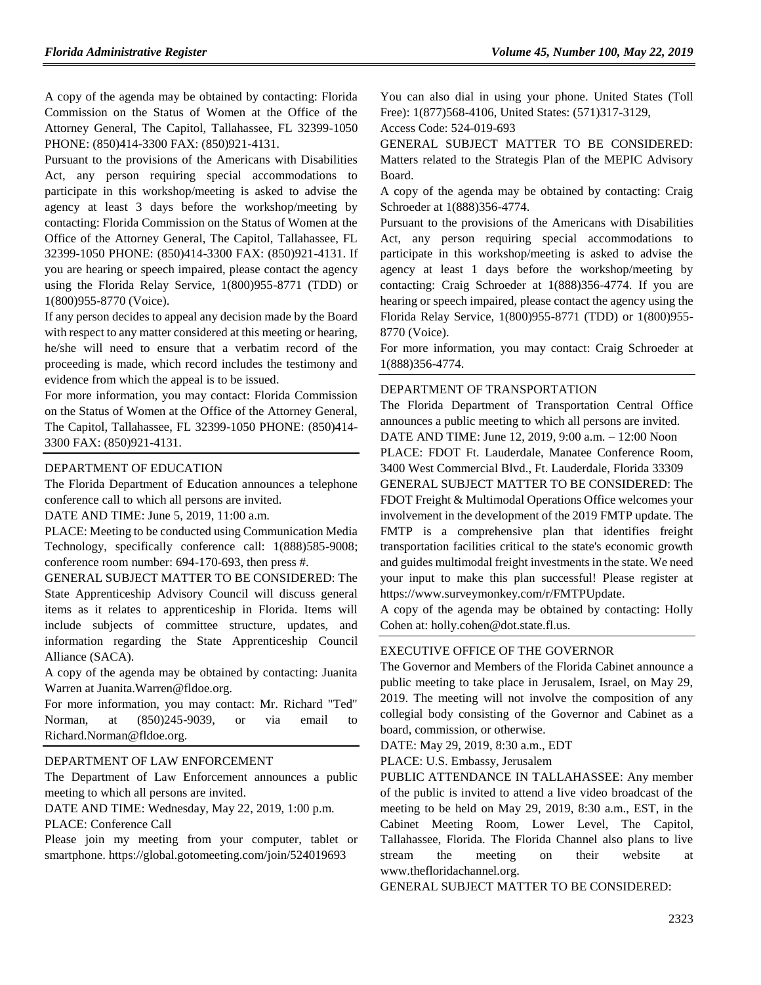A copy of the agenda may be obtained by contacting: Florida Commission on the Status of Women at the Office of the Attorney General, The Capitol, Tallahassee, FL 32399-1050 PHONE: (850)414-3300 FAX: (850)921-4131.

Pursuant to the provisions of the Americans with Disabilities Act, any person requiring special accommodations to participate in this workshop/meeting is asked to advise the agency at least 3 days before the workshop/meeting by contacting: Florida Commission on the Status of Women at the Office of the Attorney General, The Capitol, Tallahassee, FL 32399-1050 PHONE: (850)414-3300 FAX: (850)921-4131. If you are hearing or speech impaired, please contact the agency using the Florida Relay Service, 1(800)955-8771 (TDD) or 1(800)955-8770 (Voice).

If any person decides to appeal any decision made by the Board with respect to any matter considered at this meeting or hearing, he/she will need to ensure that a verbatim record of the proceeding is made, which record includes the testimony and evidence from which the appeal is to be issued.

For more information, you may contact: Florida Commission on the Status of Women at the Office of the Attorney General, The Capitol, Tallahassee, FL 32399-1050 PHONE: (850)414- 3300 FAX: (850)921-4131.

#### [DEPARTMENT OF EDUCATION](https://www.flrules.org/gateway/department.asp?id=6)

The Florida Department of Education announces a telephone conference call to which all persons are invited.

DATE AND TIME: June 5, 2019, 11:00 a.m.

PLACE: Meeting to be conducted using Communication Media Technology, specifically conference call: 1(888)585-9008; conference room number: 694-170-693, then press #.

GENERAL SUBJECT MATTER TO BE CONSIDERED: The State Apprenticeship Advisory Council will discuss general items as it relates to apprenticeship in Florida. Items will include subjects of committee structure, updates, and information regarding the State Apprenticeship Council Alliance (SACA).

A copy of the agenda may be obtained by contacting: Juanita Warren at Juanita.Warren@fldoe.org.

For more information, you may contact: Mr. Richard "Ted" Norman, at (850)245-9039, or via email to Richard.Norman@fldoe.org.

#### [DEPARTMENT OF LAW ENFORCEMENT](https://www.flrules.org/gateway/department.asp?id=11)

The Department of Law Enforcement announces a public meeting to which all persons are invited.

DATE AND TIME: Wednesday, May 22, 2019, 1:00 p.m.

PLACE: Conference Call

Please join my meeting from your computer, tablet or smartphone. https://global.gotomeeting.com/join/524019693

You can also dial in using your phone. United States (Toll Free): 1(877)568-4106, United States: (571)317-3129,

Access Code: 524-019-693

GENERAL SUBJECT MATTER TO BE CONSIDERED: Matters related to the Strategis Plan of the MEPIC Advisory Board.

A copy of the agenda may be obtained by contacting: Craig Schroeder at 1(888)356-4774.

Pursuant to the provisions of the Americans with Disabilities Act, any person requiring special accommodations to participate in this workshop/meeting is asked to advise the agency at least 1 days before the workshop/meeting by contacting: Craig Schroeder at 1(888)356-4774. If you are hearing or speech impaired, please contact the agency using the Florida Relay Service, 1(800)955-8771 (TDD) or 1(800)955- 8770 (Voice).

For more information, you may contact: Craig Schroeder at 1(888)356-4774.

#### [DEPARTMENT OF TRANSPORTATION](https://www.flrules.org/gateway/department.asp?id=14)

The Florida Department of Transportation Central Office announces a public meeting to which all persons are invited. DATE AND TIME: June 12, 2019, 9:00 a.m. – 12:00 Noon PLACE: FDOT Ft. Lauderdale, Manatee Conference Room, 3400 West Commercial Blvd., Ft. Lauderdale, Florida 33309 GENERAL SUBJECT MATTER TO BE CONSIDERED: The FDOT Freight & Multimodal Operations Office welcomes your involvement in the development of the 2019 FMTP update. The FMTP is a comprehensive plan that identifies freight transportation facilities critical to the state's economic growth and guides multimodal freight investments in the state. We need your input to make this plan successful! Please register at https://www.surveymonkey.com/r/FMTPUpdate.

A copy of the agenda may be obtained by contacting: Holly Cohen at: holly.cohen@dot.state.fl.us.

#### [EXECUTIVE OFFICE OF THE GOVERNOR](https://www.flrules.org/gateway/department.asp?id=27)

The Governor and Members of the Florida Cabinet announce a public meeting to take place in Jerusalem, Israel, on May 29, 2019. The meeting will not involve the composition of any collegial body consisting of the Governor and Cabinet as a board, commission, or otherwise.

DATE: May 29, 2019, 8:30 a.m., EDT

PLACE: U.S. Embassy, Jerusalem

PUBLIC ATTENDANCE IN TALLAHASSEE: Any member of the public is invited to attend a live video broadcast of the meeting to be held on May 29, 2019, 8:30 a.m., EST, in the Cabinet Meeting Room, Lower Level, The Capitol, Tallahassee, Florida. The Florida Channel also plans to live stream the meeting on their website at www.thefloridachannel.org.

GENERAL SUBJECT MATTER TO BE CONSIDERED: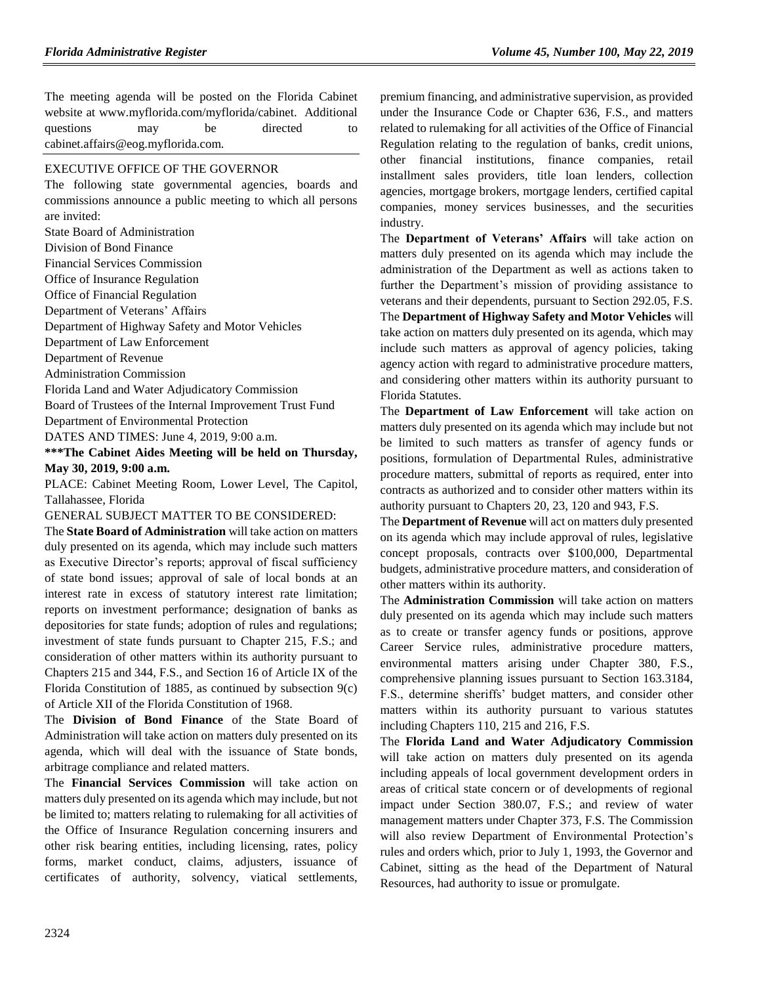The meeting agenda will be posted on the Florida Cabinet website at www.myflorida.com/myflorida/cabinet. Additional questions may be directed to cabinet.affairs@eog.myflorida.com.

#### [EXECUTIVE OFFICE OF THE GOVERNOR](https://www.flrules.org/gateway/department.asp?id=27)

The following state governmental agencies, boards and commissions announce a public meeting to which all persons are invited:

State Board of Administration

Division of Bond Finance

Financial Services Commission

Office of Insurance Regulation

Office of Financial Regulation

Department of Veterans' Affairs

Department of Highway Safety and Motor Vehicles

Department of Law Enforcement

Department of Revenue

Administration Commission

Florida Land and Water Adjudicatory Commission

Board of Trustees of the Internal Improvement Trust Fund

Department of Environmental Protection

DATES AND TIMES: June 4, 2019, 9:00 a.m.

#### **\*\*\*The Cabinet Aides Meeting will be held on Thursday, May 30, 2019, 9:00 a.m.**

PLACE: Cabinet Meeting Room, Lower Level, The Capitol, Tallahassee, Florida

GENERAL SUBJECT MATTER TO BE CONSIDERED:

The **State Board of Administration** will take action on matters duly presented on its agenda, which may include such matters as Executive Director's reports; approval of fiscal sufficiency of state bond issues; approval of sale of local bonds at an interest rate in excess of statutory interest rate limitation; reports on investment performance; designation of banks as depositories for state funds; adoption of rules and regulations; investment of state funds pursuant to Chapter 215, F.S.; and consideration of other matters within its authority pursuant to Chapters 215 and 344, F.S., and Section 16 of Article IX of the Florida Constitution of 1885, as continued by subsection 9(c) of Article XII of the Florida Constitution of 1968.

The **Division of Bond Finance** of the State Board of Administration will take action on matters duly presented on its agenda, which will deal with the issuance of State bonds, arbitrage compliance and related matters.

The **Financial Services Commission** will take action on matters duly presented on its agenda which may include, but not be limited to; matters relating to rulemaking for all activities of the Office of Insurance Regulation concerning insurers and other risk bearing entities, including licensing, rates, policy forms, market conduct, claims, adjusters, issuance of certificates of authority, solvency, viatical settlements,

premium financing, and administrative supervision, as provided under the Insurance Code or Chapter 636, F.S., and matters related to rulemaking for all activities of the Office of Financial Regulation relating to the regulation of banks, credit unions, other financial institutions, finance companies, retail installment sales providers, title loan lenders, collection agencies, mortgage brokers, mortgage lenders, certified capital companies, money services businesses, and the securities industry.

The **Department of Veterans' Affairs** will take action on matters duly presented on its agenda which may include the administration of the Department as well as actions taken to further the Department's mission of providing assistance to veterans and their dependents, pursuant to Section 292.05, F.S. The **Department of Highway Safety and Motor Vehicles** will take action on matters duly presented on its agenda, which may include such matters as approval of agency policies, taking agency action with regard to administrative procedure matters, and considering other matters within its authority pursuant to Florida Statutes.

The **Department of Law Enforcement** will take action on matters duly presented on its agenda which may include but not be limited to such matters as transfer of agency funds or positions, formulation of Departmental Rules, administrative procedure matters, submittal of reports as required, enter into contracts as authorized and to consider other matters within its authority pursuant to Chapters 20, 23, 120 and 943, F.S.

The **Department of Revenue** will act on matters duly presented on its agenda which may include approval of rules, legislative concept proposals, contracts over \$100,000, Departmental budgets, administrative procedure matters, and consideration of other matters within its authority.

The **Administration Commission** will take action on matters duly presented on its agenda which may include such matters as to create or transfer agency funds or positions, approve Career Service rules, administrative procedure matters, environmental matters arising under Chapter 380, F.S., comprehensive planning issues pursuant to Section 163.3184, F.S., determine sheriffs' budget matters, and consider other matters within its authority pursuant to various statutes including Chapters 110, 215 and 216, F.S.

The **Florida Land and Water Adjudicatory Commission** will take action on matters duly presented on its agenda including appeals of local government development orders in areas of critical state concern or of developments of regional impact under Section 380.07, F.S.; and review of water management matters under Chapter 373, F.S. The Commission will also review Department of Environmental Protection's rules and orders which, prior to July 1, 1993, the Governor and Cabinet, sitting as the head of the Department of Natural Resources, had authority to issue or promulgate.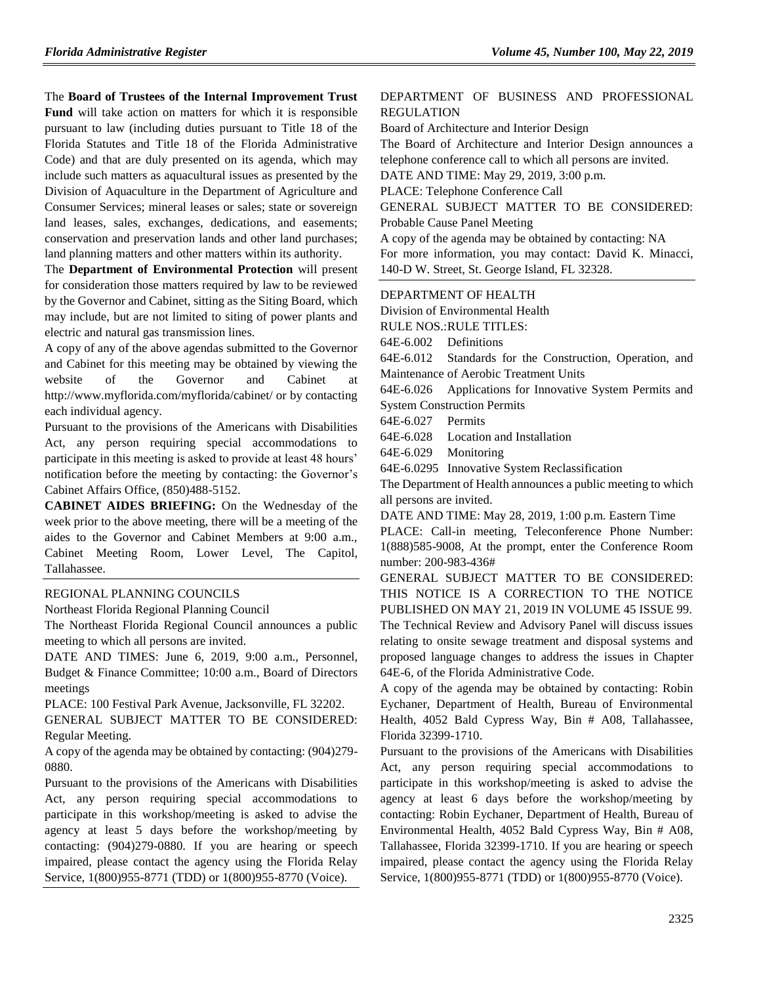The **Board of Trustees of the Internal Improvement Trust Fund** will take action on matters for which it is responsible pursuant to law (including duties pursuant to Title 18 of the Florida Statutes and Title 18 of the Florida Administrative Code) and that are duly presented on its agenda, which may include such matters as aquacultural issues as presented by the Division of Aquaculture in the Department of Agriculture and Consumer Services; mineral leases or sales; state or sovereign land leases, sales, exchanges, dedications, and easements; conservation and preservation lands and other land purchases; land planning matters and other matters within its authority.

The **Department of Environmental Protection** will present for consideration those matters required by law to be reviewed by the Governor and Cabinet, sitting as the Siting Board, which may include, but are not limited to siting of power plants and electric and natural gas transmission lines.

A copy of any of the above agendas submitted to the Governor and Cabinet for this meeting may be obtained by viewing the website of the Governor and Cabinet at http://www.myflorida.com/myflorida/cabinet/ or by contacting each individual agency.

Pursuant to the provisions of the Americans with Disabilities Act, any person requiring special accommodations to participate in this meeting is asked to provide at least 48 hours' notification before the meeting by contacting: the Governor's Cabinet Affairs Office, (850)488-5152.

**CABINET AIDES BRIEFING:** On the Wednesday of the week prior to the above meeting, there will be a meeting of the aides to the Governor and Cabinet Members at 9:00 a.m., Cabinet Meeting Room, Lower Level, The Capitol, Tallahassee.

#### [REGIONAL PLANNING COUNCILS](https://www.flrules.org/gateway/department.asp?id=29)

[Northeast Florida Regional Planning Council](https://www.flrules.org/gateway/organization.asp?id=60)

The Northeast Florida Regional Council announces a public meeting to which all persons are invited.

DATE AND TIMES: June 6, 2019, 9:00 a.m., Personnel, Budget & Finance Committee; 10:00 a.m., Board of Directors meetings

PLACE: 100 Festival Park Avenue, Jacksonville, FL 32202.

GENERAL SUBJECT MATTER TO BE CONSIDERED: Regular Meeting.

A copy of the agenda may be obtained by contacting: (904)279- 0880.

Pursuant to the provisions of the Americans with Disabilities Act, any person requiring special accommodations to participate in this workshop/meeting is asked to advise the agency at least 5 days before the workshop/meeting by contacting: (904)279-0880. If you are hearing or speech impaired, please contact the agency using the Florida Relay Service, 1(800)955-8771 (TDD) or 1(800)955-8770 (Voice).

#### [DEPARTMENT OF BUSINESS AND](https://www.flrules.org/gateway/department.asp?id=61) PROFESSIONAL [REGULATION](https://www.flrules.org/gateway/department.asp?id=61)

[Board of Architecture and Interior Design](https://www.flrules.org/gateway/organization.asp?id=263)

The Board of Architecture and Interior Design announces a telephone conference call to which all persons are invited.

DATE AND TIME: May 29, 2019, 3:00 p.m.

PLACE: Telephone Conference Call

GENERAL SUBJECT MATTER TO BE CONSIDERED: Probable Cause Panel Meeting

A copy of the agenda may be obtained by contacting: NA For more information, you may contact: David K. Minacci, 140-D W. Street, St. George Island, FL 32328.

#### [DEPARTMENT OF HEALTH](https://www.flrules.org/gateway/department.asp?id=64)

[Division of Environmental Health](https://www.flrules.org/gateway/organization.asp?id=335)

RULE NOS.:RULE TITLES:

[64E-6.002](https://www.flrules.org/gateway/ruleNo.asp?id=64E-6.002) Definitions

[64E-6.012](https://www.flrules.org/gateway/ruleNo.asp?id=64E-6.012) Standards for the Construction, Operation, and Maintenance of Aerobic Treatment Units

[64E-6.026](https://www.flrules.org/gateway/ruleNo.asp?id=64E-6.026) Applications for Innovative System Permits and System Construction Permits

[64E-6.027](https://www.flrules.org/gateway/ruleNo.asp?id=64E-6.027) Permits

[64E-6.028](https://www.flrules.org/gateway/ruleNo.asp?id=64E-6.028) Location and Installation

[64E-6.029](https://www.flrules.org/gateway/ruleNo.asp?id=64E-6.029) Monitoring

[64E-6.0295](https://www.flrules.org/gateway/ruleNo.asp?id=64E-6.0295) Innovative System Reclassification

The Department of Health announces a public meeting to which all persons are invited.

DATE AND TIME: May 28, 2019, 1:00 p.m. Eastern Time

PLACE: Call-in meeting, Teleconference Phone Number: 1(888)585-9008, At the prompt, enter the Conference Room number: 200-983-436#

GENERAL SUBJECT MATTER TO BE CONSIDERED: THIS NOTICE IS A CORRECTION TO THE NOTICE PUBLISHED ON MAY 21, 2019 IN VOLUME 45 ISSUE 99. The Technical Review and Advisory Panel will discuss issues relating to onsite sewage treatment and disposal systems and proposed language changes to address the issues in Chapter 64E-6, of the Florida Administrative Code.

A copy of the agenda may be obtained by contacting: Robin Eychaner, Department of Health, Bureau of Environmental Health, 4052 Bald Cypress Way, Bin # A08, Tallahassee, Florida 32399-1710.

Pursuant to the provisions of the Americans with Disabilities Act, any person requiring special accommodations to participate in this workshop/meeting is asked to advise the agency at least 6 days before the workshop/meeting by contacting: Robin Eychaner, Department of Health, Bureau of Environmental Health, 4052 Bald Cypress Way, Bin # A08, Tallahassee, Florida 32399-1710. If you are hearing or speech impaired, please contact the agency using the Florida Relay Service, 1(800)955-8771 (TDD) or 1(800)955-8770 (Voice).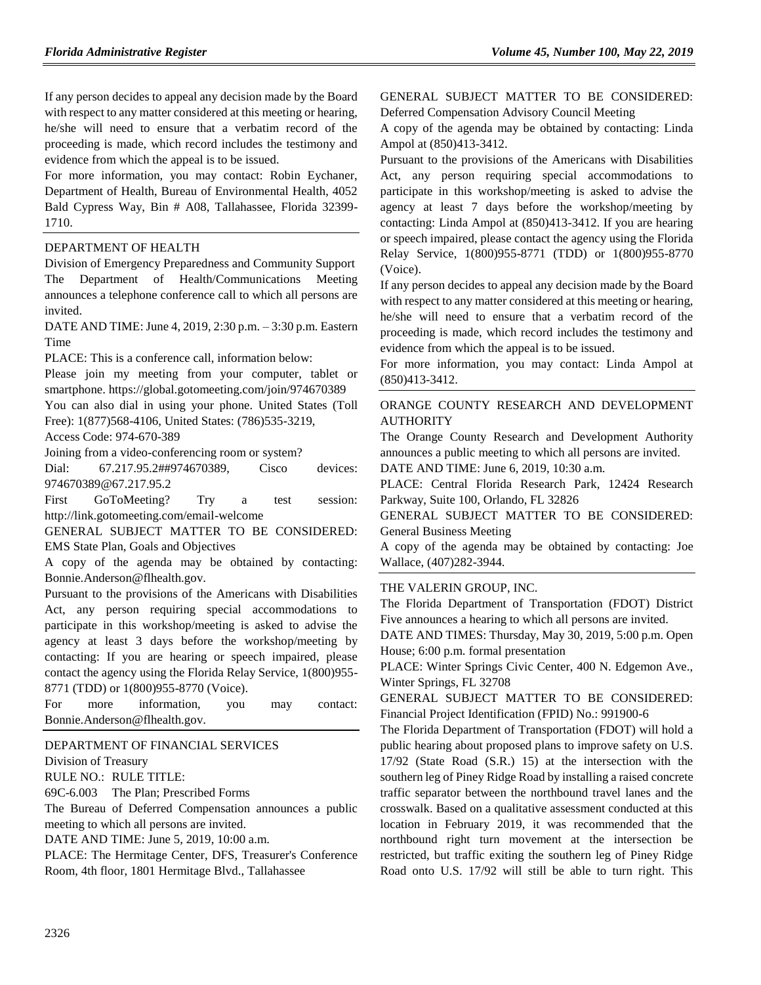If any person decides to appeal any decision made by the Board with respect to any matter considered at this meeting or hearing, he/she will need to ensure that a verbatim record of the proceeding is made, which record includes the testimony and evidence from which the appeal is to be issued.

For more information, you may contact: Robin Eychaner, Department of Health, Bureau of Environmental Health, 4052 Bald Cypress Way, Bin # A08, Tallahassee, Florida 32399- 1710.

#### [DEPARTMENT OF HEALTH](https://www.flrules.org/gateway/department.asp?id=64)

[Division of Emergency Preparedness and Community Support](https://www.flrules.org/gateway/organization.asp?id=832) The Department of Health/Communications Meeting announces a telephone conference call to which all persons are invited.

DATE AND TIME: June 4, 2019, 2:30 p.m. – 3:30 p.m. Eastern Time

PLACE: This is a conference call, information below:

Please join my meeting from your computer, tablet or smartphone. https://global.gotomeeting.com/join/974670389

You can also dial in using your phone. United States (Toll

Free): 1(877)568-4106, United States: (786)535-3219,

Access Code: 974-670-389

Joining from a video-conferencing room or system?

Dial: 67.217.95.2##974670389, Cisco devices: 974670389@67.217.95.2

First GoToMeeting? Try a test session: http://link.gotomeeting.com/email-welcome

GENERAL SUBJECT MATTER TO BE CONSIDERED: EMS State Plan, Goals and Objectives

A copy of the agenda may be obtained by contacting: Bonnie.Anderson@flhealth.gov.

Pursuant to the provisions of the Americans with Disabilities Act, any person requiring special accommodations to participate in this workshop/meeting is asked to advise the agency at least 3 days before the workshop/meeting by contacting: If you are hearing or speech impaired, please contact the agency using the Florida Relay Service, 1(800)955- 8771 (TDD) or 1(800)955-8770 (Voice).

For more information, you may contact: Bonnie.Anderson@flhealth.gov.

#### [DEPARTMENT OF FINANCIAL SERVICES](https://www.flrules.org/gateway/department.asp?id=69)

[Division of Treasury](https://www.flrules.org/gateway/organization.asp?id=361)

RULE NO.: RULE TITLE:

[69C-6.003](https://www.flrules.org/gateway/ruleNo.asp?id=69C-6.003) The Plan; Prescribed Forms

The Bureau of Deferred Compensation announces a public meeting to which all persons are invited.

DATE AND TIME: June 5, 2019, 10:00 a.m.

PLACE: The Hermitage Center, DFS, Treasurer's Conference Room, 4th floor, 1801 Hermitage Blvd., Tallahassee

GENERAL SUBJECT MATTER TO BE CONSIDERED: Deferred Compensation Advisory Council Meeting

A copy of the agenda may be obtained by contacting: Linda Ampol at (850)413-3412.

Pursuant to the provisions of the Americans with Disabilities Act, any person requiring special accommodations to participate in this workshop/meeting is asked to advise the agency at least 7 days before the workshop/meeting by contacting: Linda Ampol at (850)413-3412. If you are hearing or speech impaired, please contact the agency using the Florida Relay Service, 1(800)955-8771 (TDD) or 1(800)955-8770 (Voice).

If any person decides to appeal any decision made by the Board with respect to any matter considered at this meeting or hearing, he/she will need to ensure that a verbatim record of the proceeding is made, which record includes the testimony and evidence from which the appeal is to be issued.

For more information, you may contact: Linda Ampol at (850)413-3412.

#### [ORANGE COUNTY RESEARCH AND DEVELOPMENT](https://www.flrules.org/gateway/organization.asp?id=582)  [AUTHORITY](https://www.flrules.org/gateway/organization.asp?id=582)

The Orange County Research and Development Authority announces a public meeting to which all persons are invited. DATE AND TIME: June 6, 2019, 10:30 a.m.

PLACE: Central Florida Research Park, 12424 Research Parkway, Suite 100, Orlando, FL 32826

GENERAL SUBJECT MATTER TO BE CONSIDERED: General Business Meeting

A copy of the agenda may be obtained by contacting: Joe Wallace, (407)282-3944.

#### [THE VALERIN GROUP, INC.](https://www.flrules.org/gateway/organization.asp?id=1012)

The Florida Department of Transportation (FDOT) District Five announces a hearing to which all persons are invited.

DATE AND TIMES: Thursday, May 30, 2019, 5:00 p.m. Open House; 6:00 p.m. formal presentation

PLACE: Winter Springs Civic Center, 400 N. Edgemon Ave., Winter Springs, FL 32708

GENERAL SUBJECT MATTER TO BE CONSIDERED: Financial Project Identification (FPID) No.: 991900-6

The Florida Department of Transportation (FDOT) will hold a public hearing about proposed plans to improve safety on U.S. 17/92 (State Road (S.R.) 15) at the intersection with the southern leg of Piney Ridge Road by installing a raised concrete traffic separator between the northbound travel lanes and the crosswalk. Based on a qualitative assessment conducted at this location in February 2019, it was recommended that the northbound right turn movement at the intersection be restricted, but traffic exiting the southern leg of Piney Ridge Road onto U.S. 17/92 will still be able to turn right. This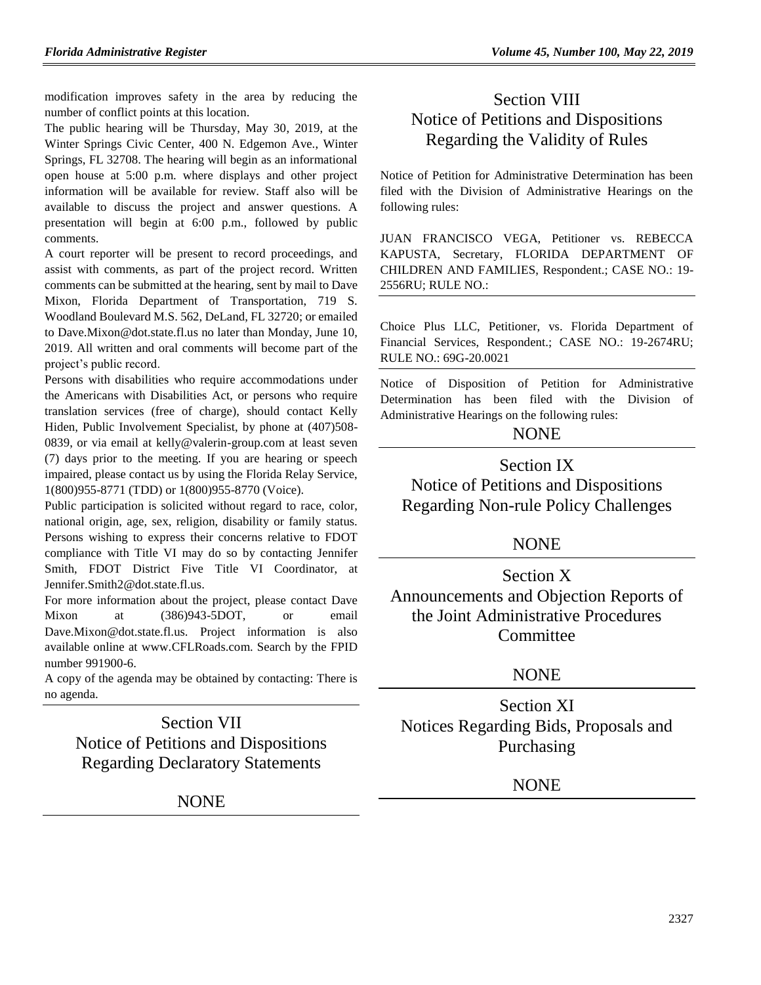modification improves safety in the area by reducing the number of conflict points at this location.

The public hearing will be Thursday, May 30, 2019, at the Winter Springs Civic Center, 400 N. Edgemon Ave., Winter Springs, FL 32708. The hearing will begin as an informational open house at 5:00 p.m. where displays and other project information will be available for review. Staff also will be available to discuss the project and answer questions. A presentation will begin at 6:00 p.m., followed by public comments.

A court reporter will be present to record proceedings, and assist with comments, as part of the project record. Written comments can be submitted at the hearing, sent by mail to Dave Mixon, Florida Department of Transportation, 719 S. Woodland Boulevard M.S. 562, DeLand, FL 32720; or emailed to Dave.Mixon@dot.state.fl.us no later than Monday, June 10, 2019. All written and oral comments will become part of the project's public record.

Persons with disabilities who require accommodations under the Americans with Disabilities Act, or persons who require translation services (free of charge), should contact Kelly Hiden, Public Involvement Specialist, by phone at  $(407)508$ -0839, or via email at kelly@valerin-group.com at least seven (7) days prior to the meeting. If you are hearing or speech impaired, please contact us by using the Florida Relay Service, 1(800)955-8771 (TDD) or 1(800)955-8770 (Voice).

Public participation is solicited without regard to race, color, national origin, age, sex, religion, disability or family status. Persons wishing to express their concerns relative to FDOT compliance with Title VI may do so by contacting Jennifer Smith, FDOT District Five Title VI Coordinator, at Jennifer.Smith2@dot.state.fl.us.

For more information about the project, please contact Dave Mixon at (386)943-5DOT, or email Dave.Mixon@dot.state.fl.us. Project information is also available online at www.CFLRoads.com. Search by the FPID number 991900-6.

A copy of the agenda may be obtained by contacting: There is no agenda.

Section VII Notice of Petitions and Dispositions Regarding Declaratory Statements

NONE

# Section VIII Notice of Petitions and Dispositions Regarding the Validity of Rules

Notice of Petition for Administrative Determination has been filed with the Division of Administrative Hearings on the following rules:

JUAN FRANCISCO VEGA, Petitioner vs. REBECCA KAPUSTA, Secretary, FLORIDA DEPARTMENT OF CHILDREN AND FAMILIES, Respondent.; CASE NO.: 19- 2556RU; RULE NO.:

Choice Plus LLC, Petitioner, vs. Florida Department of Financial Services, Respondent.; CASE NO.: 19-2674RU; RULE NO.: 69G-20.0021

Notice of Disposition of Petition for Administrative Determination has been filed with the Division of Administrative Hearings on the following rules:

### NONE

Section IX Notice of Petitions and Dispositions Regarding Non-rule Policy Challenges

### NONE

Section X Announcements and Objection Reports of the Joint Administrative Procedures **Committee** 

# **NONE**

Section XI Notices Regarding Bids, Proposals and Purchasing

# NONE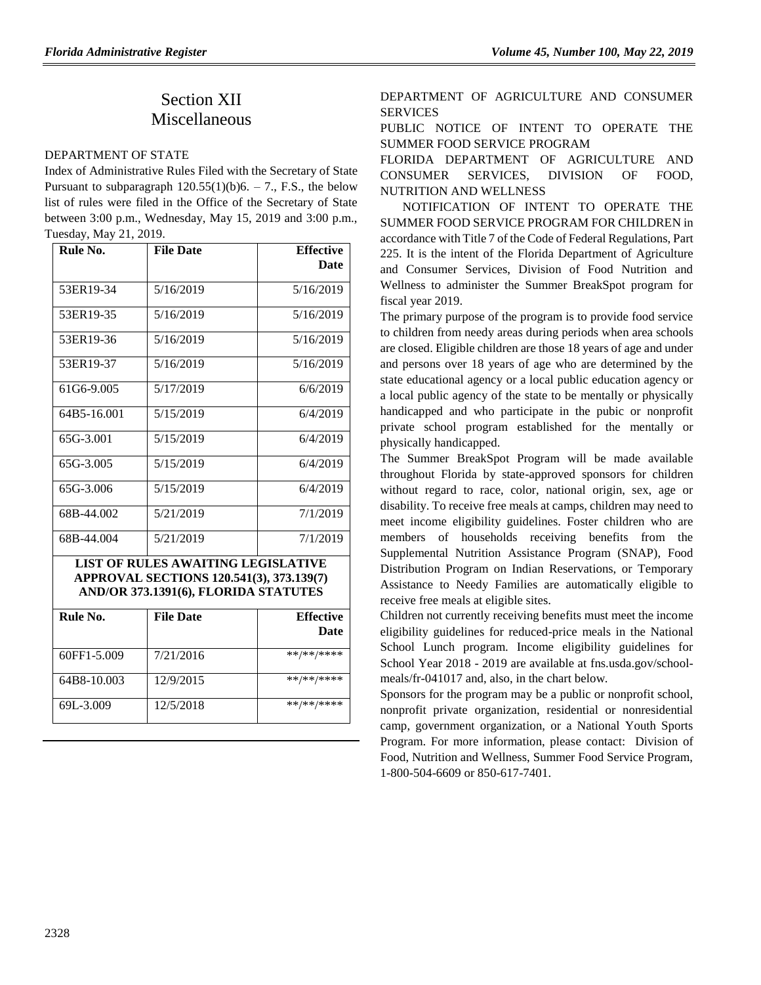# Section XII Miscellaneous

#### [DEPARTMENT OF STATE](https://www.flrules.org/gateway/department.asp?id=1)

Index of Administrative Rules Filed with the Secretary of State Pursuant to subparagraph  $120.55(1)(b)6. - 7$ ., F.S., the below list of rules were filed in the Office of the Secretary of State between 3:00 p.m., Wednesday, May 15, 2019 and 3:00 p.m., Tuesday, May 21, 2019.

| Rule No.    | <b>File Date</b> | <b>Effective</b> |
|-------------|------------------|------------------|
|             |                  | Date             |
| 53ER19-34   | 5/16/2019        | 5/16/2019        |
| 53ER19-35   | 5/16/2019        | 5/16/2019        |
| 53ER19-36   | 5/16/2019        | 5/16/2019        |
| 53ER19-37   | 5/16/2019        | 5/16/2019        |
| 61G6-9.005  | 5/17/2019        | 6/6/2019         |
| 64B5-16.001 | 5/15/2019        | 6/4/2019         |
| 65G-3.001   | 5/15/2019        | 6/4/2019         |
| 65G-3.005   | 5/15/2019        | 6/4/2019         |
| 65G-3.006   | 5/15/2019        | 6/4/2019         |
| 68B-44.002  | 5/21/2019        | 7/1/2019         |
| 68B-44.004  | 5/21/2019        | 7/1/2019         |

**LIST OF RULES AWAITING LEGISLATIVE APPROVAL SECTIONS 120.541(3), 373.139(7) AND/OR 373.1391(6), FLORIDA STATUTES**

| Rule No.    | <b>File Date</b> | <b>Effective</b><br><b>Date</b> |
|-------------|------------------|---------------------------------|
| 60FF1-5.009 | 7/21/2016        | **/**/****                      |
| 64B8-10.003 | 12/9/2015        | **/**/****                      |
| 69L-3.009   | 12/5/2018        | **/**/****                      |

DEPARTMENT OF AGRICULTURE AND CONSUMER **SERVICES** 

PUBLIC NOTICE OF INTENT TO OPERATE THE SUMMER FOOD SERVICE PROGRAM

FLORIDA DEPARTMENT OF AGRICULTURE AND CONSUMER SERVICES, DIVISION OF FOOD, NUTRITION AND WELLNESS

NOTIFICATION OF INTENT TO OPERATE THE SUMMER FOOD SERVICE PROGRAM FOR CHILDREN in accordance with Title 7 of the Code of Federal Regulations, Part 225. It is the intent of the Florida Department of Agriculture and Consumer Services, Division of Food Nutrition and Wellness to administer the Summer BreakSpot program for fiscal year 2019.

The primary purpose of the program is to provide food service to children from needy areas during periods when area schools are closed. Eligible children are those 18 years of age and under and persons over 18 years of age who are determined by the state educational agency or a local public education agency or a local public agency of the state to be mentally or physically handicapped and who participate in the pubic or nonprofit private school program established for the mentally or physically handicapped.

The Summer BreakSpot Program will be made available throughout Florida by state-approved sponsors for children without regard to race, color, national origin, sex, age or disability. To receive free meals at camps, children may need to meet income eligibility guidelines. Foster children who are members of households receiving benefits from the Supplemental Nutrition Assistance Program (SNAP), Food Distribution Program on Indian Reservations, or Temporary Assistance to Needy Families are automatically eligible to receive free meals at eligible sites.

Children not currently receiving benefits must meet the income eligibility guidelines for reduced-price meals in the National School Lunch program. Income eligibility guidelines for School Year 2018 - 2019 are available at [fns.usda.gov/school](http://www.fns.usda.gov/school-meals/fr-041017)[meals/fr-041017](http://www.fns.usda.gov/school-meals/fr-041017) and, also, in the chart below.

Sponsors for the program may be a public or nonprofit school, nonprofit private organization, residential or nonresidential camp, government organization, or a National Youth Sports Program. For more information, please contact: Division of Food, Nutrition and Wellness, Summer Food Service Program, 1-800-504-6609 or 850-617-7401.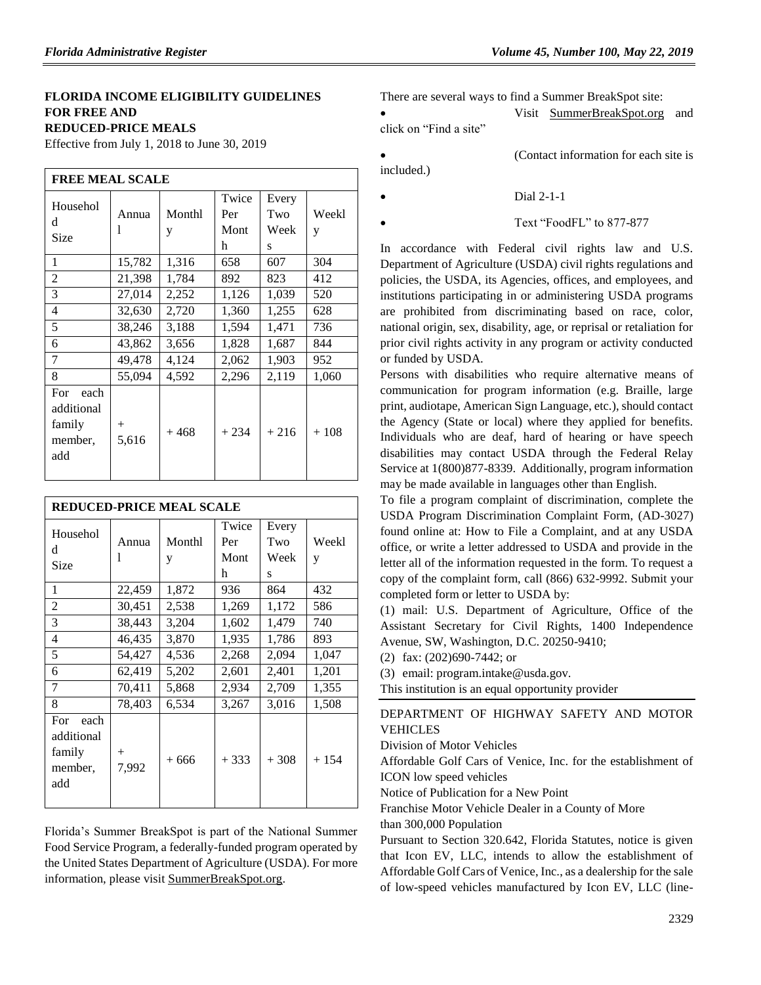#### **FLORIDA INCOME ELIGIBILITY GUIDELINES FOR FREE AND REDUCED-PRICE MEALS**

Effective from July 1, 2018 to June 30, 2019

| <b>FREE MEAL SCALE</b>                                |                 |             |                           |                           |            |
|-------------------------------------------------------|-----------------|-------------|---------------------------|---------------------------|------------|
| Househol<br>d<br>Size                                 | Annua<br>1      | Monthl<br>y | Twice<br>Per<br>Mont<br>h | Every<br>Two<br>Week<br>S | Weekl<br>y |
| 1                                                     | 15,782          | 1,316       | 658                       | 607                       | 304        |
| $\overline{c}$                                        | 21,398          | 1,784       | 892                       | 823                       | 412        |
| 3                                                     | 27,014          | 2,252       | 1,126                     | 1,039                     | 520        |
| 4                                                     | 32,630          | 2,720       | 1,360                     | 1,255                     | 628        |
| 5                                                     | 38,246          | 3,188       | 1,594                     | 1,471                     | 736        |
| 6                                                     | 43,862          | 3,656       | 1,828                     | 1,687                     | 844        |
| 7                                                     | 49,478          | 4,124       | 2,062                     | 1,903                     | 952        |
| 8                                                     | 55,094          | 4,592       | 2,296                     | 2,119                     | 1,060      |
| For<br>each<br>additional<br>family<br>member,<br>add | $^{+}$<br>5,616 | $+468$      | $+234$                    | $+216$                    | $+108$     |

| <b>REDUCED-PRICE MEAL SCALE</b>                       |                 |             |                           |                           |            |
|-------------------------------------------------------|-----------------|-------------|---------------------------|---------------------------|------------|
| Househol<br>d<br>Size                                 | Annua<br>1      | Monthl<br>y | Twice<br>Per<br>Mont<br>h | Every<br>Two<br>Week<br>S | Weekl<br>y |
| 1                                                     | 22,459          | 1,872       | 936                       | 864                       | 432        |
| $\overline{c}$                                        | 30,451          | 2,538       | 1,269                     | 1,172                     | 586        |
| 3                                                     | 38,443          | 3,204       | 1,602                     | 1,479                     | 740        |
| 4                                                     | 46,435          | 3,870       | 1,935                     | 1,786                     | 893        |
| 5                                                     | 54,427          | 4,536       | 2,268                     | 2,094                     | 1,047      |
| 6                                                     | 62,419          | 5,202       | 2,601                     | 2,401                     | 1,201      |
| 7                                                     | 70,411          | 5,868       | 2,934                     | 2,709                     | 1,355      |
| 8                                                     | 78,403          | 6,534       | 3,267                     | 3,016                     | 1,508      |
| For<br>each<br>additional<br>family<br>member,<br>add | $^{+}$<br>7,992 | $+666$      | $+333$                    | $+308$                    | $+154$     |

Florida's Summer BreakSpot is part of the National Summer Food Service Program, a federally-funded program operated by the United States Department of Agriculture (USDA). For more information, please visit [SummerBreakSpot.org.](http://www.summerbreakspot.org/)

There are several ways to find a Summer BreakSpot site:

 Visit [SummerBreakSpot.org](http://www.summerbreakspot.org/) and click on "Find a site"

included.)

Dial 2-1-1

Text "FoodFL" to 877-877

In accordance with Federal civil rights law and U.S. Department of Agriculture (USDA) civil rights regulations and policies, the USDA, its Agencies, offices, and employees, and institutions participating in or administering USDA programs are prohibited from discriminating based on race, color, national origin, sex, disability, age, or reprisal or retaliation for prior civil rights activity in any program or activity conducted or funded by USDA.

Persons with disabilities who require alternative means of communication for program information (e.g. Braille, large print, audiotape, American Sign Language, etc.), should contact the Agency (State or local) where they applied for benefits. Individuals who are deaf, hard of hearing or have speech disabilities may contact USDA through the Federal Relay Service at 1(800)877-8339. Additionally, program information may be made available in languages other than English.

To file a program complaint of discrimination, complete the [USDA Program Discrimination Complaint Form,](http://www.ocio.usda.gov/sites/default/files/docs/2012/Complain_combined_6_8_12.pdf) (AD-3027) found online at: [How to File a Complaint,](http://www.ascr.usda.gov/complaint_filing_cust.html) and at any USDA office, or write a letter addressed to USDA and provide in the letter all of the information requested in the form. To request a copy of the complaint form, call (866) 632-9992. Submit your completed form or letter to USDA by:

(1) mail: U.S. Department of Agriculture, Office of the Assistant Secretary for Civil Rights, 1400 Independence Avenue, SW, Washington, D.C. 20250-9410;

(2) fax: (202)690-7442; or

(3) email: program.intake@usda.gov.

This institution is an equal opportunity provider

[DEPARTMENT OF HIGHWAY SAFETY AND MOTOR](https://www.flrules.org/gateway/department.asp?id=15)  [VEHICLES](https://www.flrules.org/gateway/department.asp?id=15)

[Division of Motor Vehicles](https://www.flrules.org/gateway/organization.asp?id=42)

Affordable Golf Cars of Venice, Inc. for the establishment of ICON low speed vehicles

Notice of Publication for a New Point

Franchise Motor Vehicle Dealer in a County of More than 300,000 Population

Pursuant to Section 320.642, Florida Statutes, notice is given that Icon EV, LLC, intends to allow the establishment of Affordable Golf Cars of Venice, Inc., as a dealership for the sale of low-speed vehicles manufactured by Icon EV, LLC (line-

(Contact information for each site is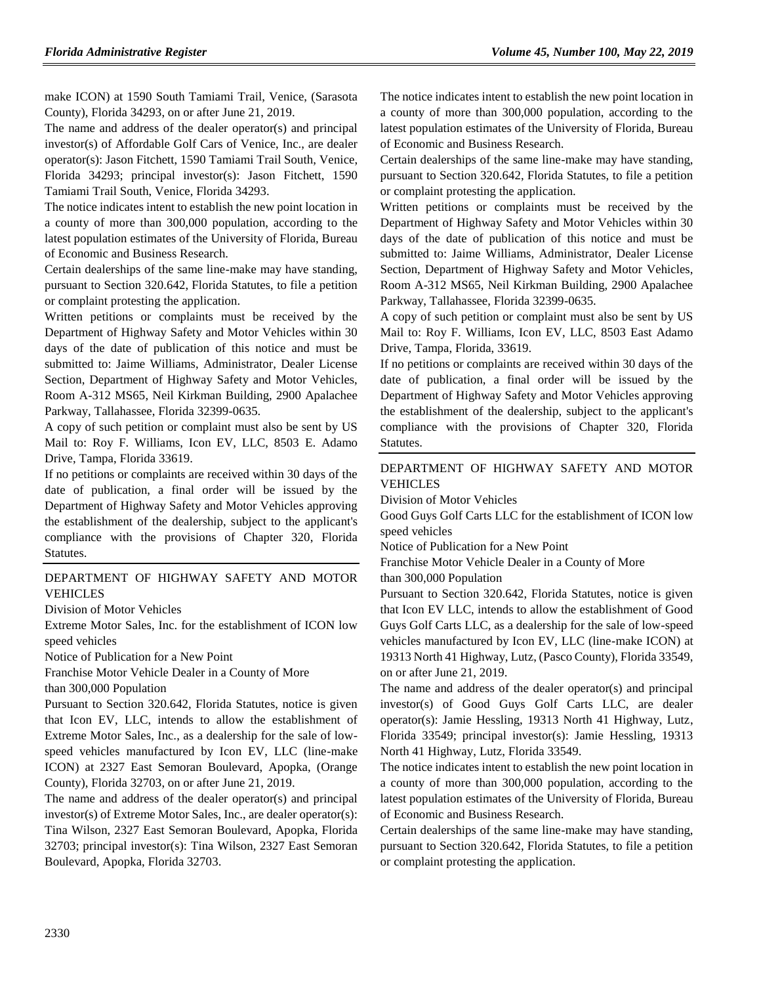make ICON) at 1590 South Tamiami Trail, Venice, (Sarasota County), Florida 34293, on or after June 21, 2019.

The name and address of the dealer operator(s) and principal investor(s) of Affordable Golf Cars of Venice, Inc., are dealer operator(s): Jason Fitchett, 1590 Tamiami Trail South, Venice, Florida 34293; principal investor(s): Jason Fitchett, 1590 Tamiami Trail South, Venice, Florida 34293.

The notice indicates intent to establish the new point location in a county of more than 300,000 population, according to the latest population estimates of the University of Florida, Bureau of Economic and Business Research.

Certain dealerships of the same line-make may have standing, pursuant to Section 320.642, Florida Statutes, to file a petition or complaint protesting the application.

Written petitions or complaints must be received by the Department of Highway Safety and Motor Vehicles within 30 days of the date of publication of this notice and must be submitted to: Jaime Williams, Administrator, Dealer License Section, Department of Highway Safety and Motor Vehicles, Room A-312 MS65, Neil Kirkman Building, 2900 Apalachee Parkway, Tallahassee, Florida 32399-0635.

A copy of such petition or complaint must also be sent by US Mail to: Roy F. Williams, Icon EV, LLC, 8503 E. Adamo Drive, Tampa, Florida 33619.

If no petitions or complaints are received within 30 days of the date of publication, a final order will be issued by the Department of Highway Safety and Motor Vehicles approving the establishment of the dealership, subject to the applicant's compliance with the provisions of Chapter 320, Florida Statutes.

#### [DEPARTMENT OF HIGHWAY SAFETY AND MOTOR](https://www.flrules.org/gateway/department.asp?id=15)  [VEHICLES](https://www.flrules.org/gateway/department.asp?id=15)

#### [Division of Motor Vehicles](https://www.flrules.org/gateway/organization.asp?id=42)

Extreme Motor Sales, Inc. for the establishment of ICON low speed vehicles

Notice of Publication for a New Point

Franchise Motor Vehicle Dealer in a County of More than 300,000 Population

Pursuant to Section 320.642, Florida Statutes, notice is given that Icon EV, LLC, intends to allow the establishment of Extreme Motor Sales, Inc., as a dealership for the sale of lowspeed vehicles manufactured by Icon EV, LLC (line-make ICON) at 2327 East Semoran Boulevard, Apopka, (Orange County), Florida 32703, on or after June 21, 2019.

The name and address of the dealer operator(s) and principal investor(s) of Extreme Motor Sales, Inc., are dealer operator(s): Tina Wilson, 2327 East Semoran Boulevard, Apopka, Florida 32703; principal investor(s): Tina Wilson, 2327 East Semoran Boulevard, Apopka, Florida 32703.

The notice indicates intent to establish the new point location in a county of more than 300,000 population, according to the latest population estimates of the University of Florida, Bureau of Economic and Business Research.

Certain dealerships of the same line-make may have standing, pursuant to Section 320.642, Florida Statutes, to file a petition or complaint protesting the application.

Written petitions or complaints must be received by the Department of Highway Safety and Motor Vehicles within 30 days of the date of publication of this notice and must be submitted to: Jaime Williams, Administrator, Dealer License Section, Department of Highway Safety and Motor Vehicles, Room A-312 MS65, Neil Kirkman Building, 2900 Apalachee Parkway, Tallahassee, Florida 32399-0635.

A copy of such petition or complaint must also be sent by US Mail to: Roy F. Williams, Icon EV, LLC, 8503 East Adamo Drive, Tampa, Florida, 33619.

If no petitions or complaints are received within 30 days of the date of publication, a final order will be issued by the Department of Highway Safety and Motor Vehicles approving the establishment of the dealership, subject to the applicant's compliance with the provisions of Chapter 320, Florida Statutes.

#### [DEPARTMENT OF HIGHWAY SAFETY AND MOTOR](https://www.flrules.org/gateway/department.asp?id=15)  [VEHICLES](https://www.flrules.org/gateway/department.asp?id=15)

[Division of Motor Vehicles](https://www.flrules.org/gateway/organization.asp?id=42)

Good Guys Golf Carts LLC for the establishment of ICON low speed vehicles

Notice of Publication for a New Point

Franchise Motor Vehicle Dealer in a County of More

than 300,000 Population

Pursuant to Section 320.642, Florida Statutes, notice is given that Icon EV LLC, intends to allow the establishment of Good Guys Golf Carts LLC, as a dealership for the sale of low-speed vehicles manufactured by Icon EV, LLC (line-make ICON) at 19313 North 41 Highway, Lutz, (Pasco County), Florida 33549, on or after June 21, 2019.

The name and address of the dealer operator(s) and principal investor(s) of Good Guys Golf Carts LLC, are dealer operator(s): Jamie Hessling, 19313 North 41 Highway, Lutz, Florida 33549; principal investor(s): Jamie Hessling, 19313 North 41 Highway, Lutz, Florida 33549.

The notice indicates intent to establish the new point location in a county of more than 300,000 population, according to the latest population estimates of the University of Florida, Bureau of Economic and Business Research.

Certain dealerships of the same line-make may have standing, pursuant to Section 320.642, Florida Statutes, to file a petition or complaint protesting the application.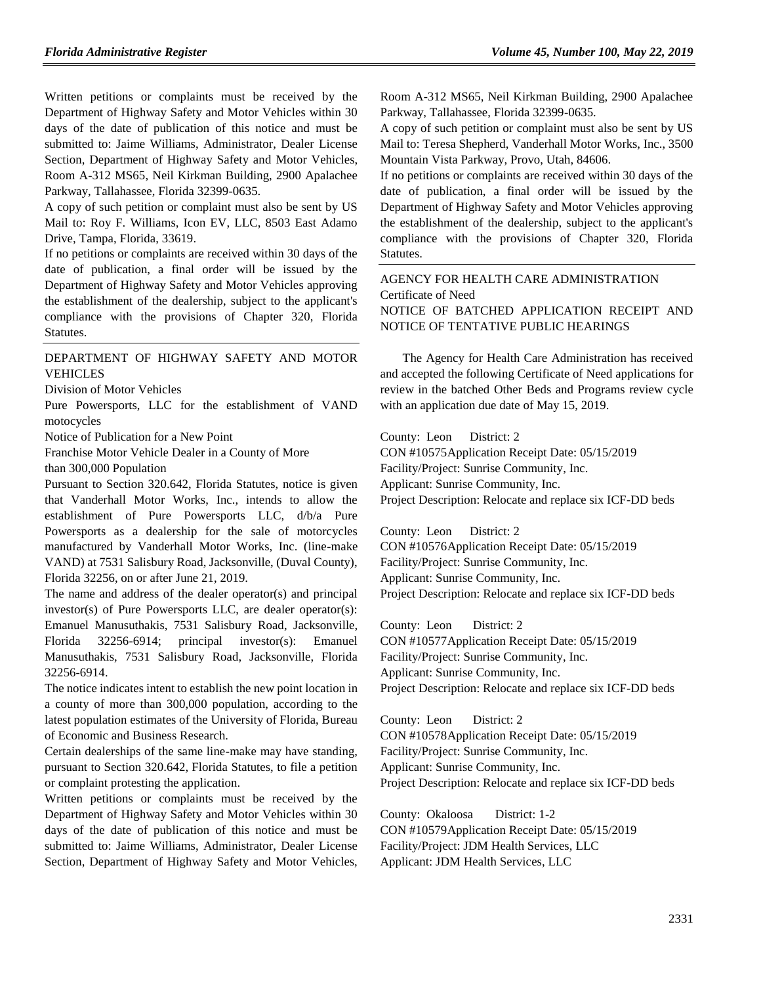Written petitions or complaints must be received by the Department of Highway Safety and Motor Vehicles within 30 days of the date of publication of this notice and must be submitted to: Jaime Williams, Administrator, Dealer License Section, Department of Highway Safety and Motor Vehicles, Room A-312 MS65, Neil Kirkman Building, 2900 Apalachee Parkway, Tallahassee, Florida 32399-0635.

A copy of such petition or complaint must also be sent by US Mail to: Roy F. Williams, Icon EV, LLC, 8503 East Adamo Drive, Tampa, Florida, 33619.

If no petitions or complaints are received within 30 days of the date of publication, a final order will be issued by the Department of Highway Safety and Motor Vehicles approving the establishment of the dealership, subject to the applicant's compliance with the provisions of Chapter 320, Florida Statutes.

#### [DEPARTMENT OF HIGHWAY SAFETY AND MOTOR](https://www.flrules.org/gateway/department.asp?id=15)  [VEHICLES](https://www.flrules.org/gateway/department.asp?id=15)

[Division of Motor Vehicles](https://www.flrules.org/gateway/organization.asp?id=42)

Pure Powersports, LLC for the establishment of VAND motocycles

Notice of Publication for a New Point

Franchise Motor Vehicle Dealer in a County of More than 300,000 Population

Pursuant to Section 320.642, Florida Statutes, notice is given that Vanderhall Motor Works, Inc., intends to allow the establishment of Pure Powersports LLC, d/b/a Pure Powersports as a dealership for the sale of motorcycles manufactured by Vanderhall Motor Works, Inc. (line-make VAND) at 7531 Salisbury Road, Jacksonville, (Duval County), Florida 32256, on or after June 21, 2019.

The name and address of the dealer operator(s) and principal investor(s) of Pure Powersports LLC, are dealer operator(s): Emanuel Manusuthakis, 7531 Salisbury Road, Jacksonville, Florida 32256-6914; principal investor(s): Emanuel Manusuthakis, 7531 Salisbury Road, Jacksonville, Florida 32256-6914.

The notice indicates intent to establish the new point location in a county of more than 300,000 population, according to the latest population estimates of the University of Florida, Bureau of Economic and Business Research.

Certain dealerships of the same line-make may have standing, pursuant to Section 320.642, Florida Statutes, to file a petition or complaint protesting the application.

Written petitions or complaints must be received by the Department of Highway Safety and Motor Vehicles within 30 days of the date of publication of this notice and must be submitted to: Jaime Williams, Administrator, Dealer License Section, Department of Highway Safety and Motor Vehicles,

Room A-312 MS65, Neil Kirkman Building, 2900 Apalachee Parkway, Tallahassee, Florida 32399-0635.

A copy of such petition or complaint must also be sent by US Mail to: Teresa Shepherd, Vanderhall Motor Works, Inc., 3500 Mountain Vista Parkway, Provo, Utah, 84606.

If no petitions or complaints are received within 30 days of the date of publication, a final order will be issued by the Department of Highway Safety and Motor Vehicles approving the establishment of the dealership, subject to the applicant's compliance with the provisions of Chapter 320, Florida Statutes.

[AGENCY FOR HEALTH CARE ADMINISTRATION](https://www.flrules.org/gateway/department.asp?id=59) [Certificate of Need](https://www.flrules.org/gateway/organization.asp?id=188) NOTICE OF BATCHED APPLICATION RECEIPT AND NOTICE OF TENTATIVE PUBLIC HEARINGS

The Agency for Health Care Administration has received and accepted the following Certificate of Need applications for review in the batched Other Beds and Programs review cycle with an application due date of May 15, 2019.

County: Leon District: 2

CON #10575Application Receipt Date: 05/15/2019 Facility/Project: Sunrise Community, Inc. Applicant: Sunrise Community, Inc. Project Description: Relocate and replace six ICF-DD beds

County: Leon District: 2 CON #10576Application Receipt Date: 05/15/2019 Facility/Project: Sunrise Community, Inc. Applicant: Sunrise Community, Inc. Project Description: Relocate and replace six ICF-DD beds

County: Leon District: 2 CON #10577Application Receipt Date: 05/15/2019 Facility/Project: Sunrise Community, Inc. Applicant: Sunrise Community, Inc. Project Description: Relocate and replace six ICF-DD beds

County: Leon District: 2 CON #10578Application Receipt Date: 05/15/2019 Facility/Project: Sunrise Community, Inc. Applicant: Sunrise Community, Inc. Project Description: Relocate and replace six ICF-DD beds

County: Okaloosa District: 1-2 CON #10579Application Receipt Date: 05/15/2019 Facility/Project: JDM Health Services, LLC Applicant: JDM Health Services, LLC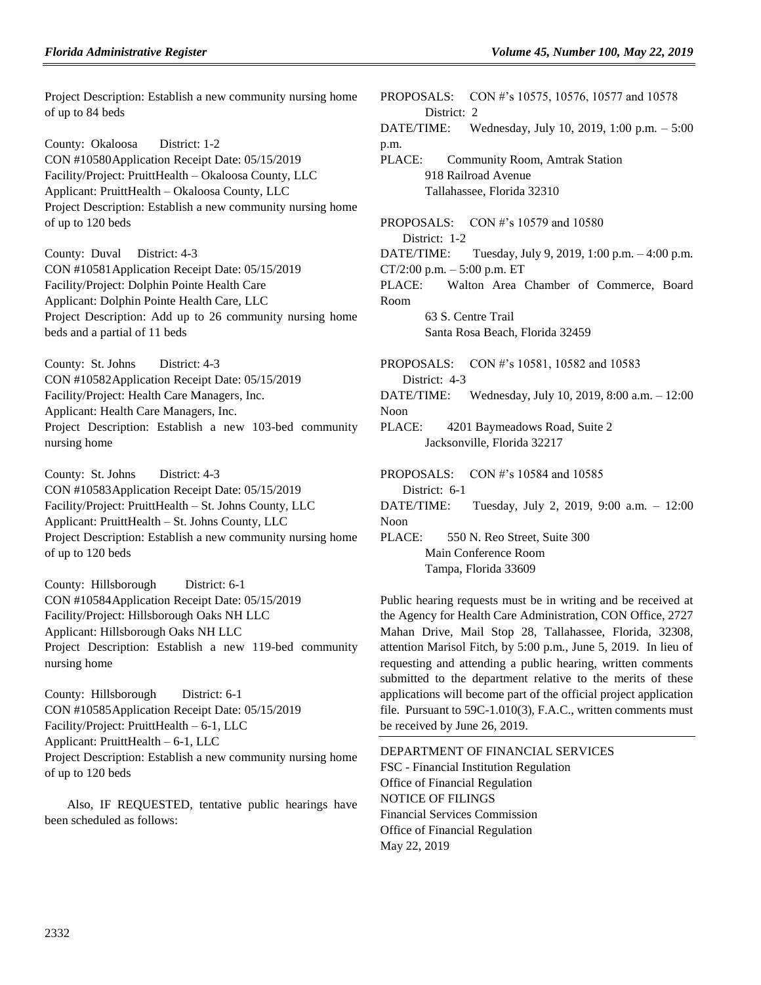Project Description: Establish a new community nursing home of up to 84 beds

County: Okaloosa District: 1-2 CON #10580Application Receipt Date: 05/15/2019 Facility/Project: PruittHealth – Okaloosa County, LLC Applicant: PruittHealth – Okaloosa County, LLC Project Description: Establish a new community nursing home of up to 120 beds

County: Duval District: 4-3 CON #10581Application Receipt Date: 05/15/2019 Facility/Project: Dolphin Pointe Health Care Applicant: Dolphin Pointe Health Care, LLC Project Description: Add up to 26 community nursing home beds and a partial of 11 beds

County: St. Johns District: 4-3 CON #10582Application Receipt Date: 05/15/2019 Facility/Project: Health Care Managers, Inc. Applicant: Health Care Managers, Inc. Project Description: Establish a new 103-bed community nursing home

County: St. Johns District: 4-3 CON #10583Application Receipt Date: 05/15/2019 Facility/Project: PruittHealth – St. Johns County, LLC Applicant: PruittHealth – St. Johns County, LLC Project Description: Establish a new community nursing home of up to 120 beds

County: Hillsborough District: 6-1 CON #10584Application Receipt Date: 05/15/2019 Facility/Project: Hillsborough Oaks NH LLC Applicant: Hillsborough Oaks NH LLC Project Description: Establish a new 119-bed community nursing home

County: Hillsborough District: 6-1 CON #10585Application Receipt Date: 05/15/2019 Facility/Project: PruittHealth – 6-1, LLC Applicant: PruittHealth – 6-1, LLC Project Description: Establish a new community nursing home of up to 120 beds

Also, IF REQUESTED, tentative public hearings have been scheduled as follows:

PROPOSALS: CON #'s 10575, 10576, 10577 and 10578 District: 2 DATE/TIME: Wednesday, July 10, 2019, 1:00 p.m. – 5:00 p.m. PLACE: Community Room, Amtrak Station 918 Railroad Avenue Tallahassee, Florida 32310 PROPOSALS: CON #'s 10579 and 10580 District: 1-2 DATE/TIME: Tuesday, July 9, 2019, 1:00 p.m. – 4:00 p.m.  $CT/2:00$  p.m.  $-5:00$  p.m. ET PLACE: Walton Area Chamber of Commerce, Board Room 63 S. Centre Trail Santa Rosa Beach, Florida 32459

PROPOSALS: CON #'s 10581, 10582 and 10583 District: 4-3 DATE/TIME: Wednesday, July 10, 2019, 8:00 a.m. – 12:00 Noon PLACE: 4201 Baymeadows Road, Suite 2 Jacksonville, Florida 32217 PROPOSALS: CON #'s 10584 and 10585

District: 6-1 DATE/TIME: Tuesday, July 2, 2019, 9:00 a.m. – 12:00 Noon PLACE: 550 N. Reo Street, Suite 300

Main Conference Room Tampa, Florida 33609

Public hearing requests must be in writing and be received at the Agency for Health Care Administration, CON Office, 2727 Mahan Drive, Mail Stop 28, Tallahassee, Florida, 32308, attention Marisol Fitch, by 5:00 p.m., June 5, 2019. In lieu of requesting and attending a public hearing, written comments submitted to the department relative to the merits of these applications will become part of the official project application file. Pursuant to 59C-1.010(3), F.A.C., written comments must be received by June 26, 2019.

[DEPARTMENT OF FINANCIAL SERVICES](https://www.flrules.org/gateway/department.asp?id=69) FSC - [Financial Institution Regulation](https://www.flrules.org/gateway/organization.asp?id=523) Office of Financial Regulation NOTICE OF FILINGS Financial Services Commission Office of Financial Regulation May 22, 2019